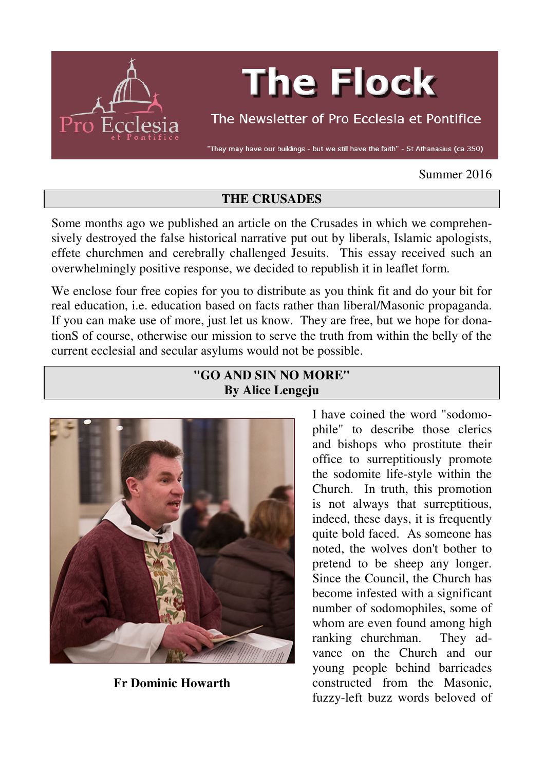

# **The Flock**

The Newsletter of Pro Ecclesia et Pontifice

"They may have our buildings - but we still have the faith" - St Athanasius (ca 350)

## Summer 2016

## **THE CRUSADES**

Some months ago we published an article on the Crusades in which we comprehensively destroyed the false historical narrative put out by liberals, Islamic apologists, effete churchmen and cerebrally challenged Jesuits. This essay received such an overwhelmingly positive response, we decided to republish it in leaflet form.

We enclose four free copies for you to distribute as you think fit and do your bit for real education, i.e. education based on facts rather than liberal/Masonic propaganda. If you can make use of more, just let us know. They are free, but we hope for donationS of course, otherwise our mission to serve the truth from within the belly of the current ecclesial and secular asylums would not be possible.

# **"GO AND SIN NO MORE" By Alice Lengeju**



**Fr Dominic Howarth** 

I have coined the word "sodomophile" to describe those clerics and bishops who prostitute their office to surreptitiously promote the sodomite life-style within the Church. In truth, this promotion is not always that surreptitious, indeed, these days, it is frequently quite bold faced. As someone has noted, the wolves don't bother to pretend to be sheep any longer. Since the Council, the Church has become infested with a significant number of sodomophiles, some of whom are even found among high ranking churchman. They advance on the Church and our young people behind barricades constructed from the Masonic, fuzzy-left buzz words beloved of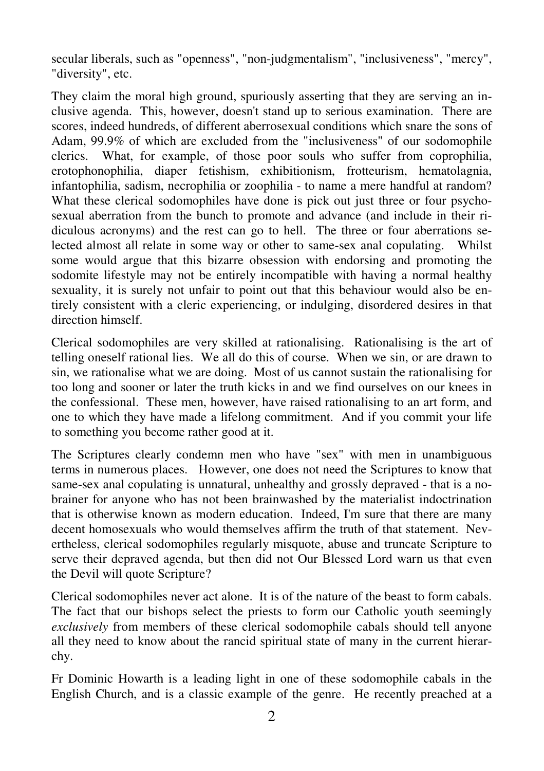secular liberals, such as "openness", "non-judgmentalism", "inclusiveness", "mercy", "diversity", etc.

They claim the moral high ground, spuriously asserting that they are serving an inclusive agenda. This, however, doesn't stand up to serious examination. There are scores, indeed hundreds, of different aberrosexual conditions which snare the sons of Adam, 99.9% of which are excluded from the "inclusiveness" of our sodomophile clerics. What, for example, of those poor souls who suffer from coprophilia, erotophonophilia, diaper fetishism, exhibitionism, frotteurism, hematolagnia, infantophilia, sadism, necrophilia or zoophilia - to name a mere handful at random? What these clerical sodomophiles have done is pick out just three or four psychosexual aberration from the bunch to promote and advance (and include in their ridiculous acronyms) and the rest can go to hell. The three or four aberrations selected almost all relate in some way or other to same-sex anal copulating. Whilst some would argue that this bizarre obsession with endorsing and promoting the sodomite lifestyle may not be entirely incompatible with having a normal healthy sexuality, it is surely not unfair to point out that this behaviour would also be entirely consistent with a cleric experiencing, or indulging, disordered desires in that direction himself.

Clerical sodomophiles are very skilled at rationalising. Rationalising is the art of telling oneself rational lies. We all do this of course. When we sin, or are drawn to sin, we rationalise what we are doing. Most of us cannot sustain the rationalising for too long and sooner or later the truth kicks in and we find ourselves on our knees in the confessional. These men, however, have raised rationalising to an art form, and one to which they have made a lifelong commitment. And if you commit your life to something you become rather good at it.

The Scriptures clearly condemn men who have "sex" with men in unambiguous terms in numerous places. However, one does not need the Scriptures to know that same-sex anal copulating is unnatural, unhealthy and grossly depraved - that is a nobrainer for anyone who has not been brainwashed by the materialist indoctrination that is otherwise known as modern education. Indeed, I'm sure that there are many decent homosexuals who would themselves affirm the truth of that statement. Nevertheless, clerical sodomophiles regularly misquote, abuse and truncate Scripture to serve their depraved agenda, but then did not Our Blessed Lord warn us that even the Devil will quote Scripture?

Clerical sodomophiles never act alone. It is of the nature of the beast to form cabals. The fact that our bishops select the priests to form our Catholic youth seemingly *exclusively* from members of these clerical sodomophile cabals should tell anyone all they need to know about the rancid spiritual state of many in the current hierarchy.

Fr Dominic Howarth is a leading light in one of these sodomophile cabals in the English Church, and is a classic example of the genre. He recently preached at a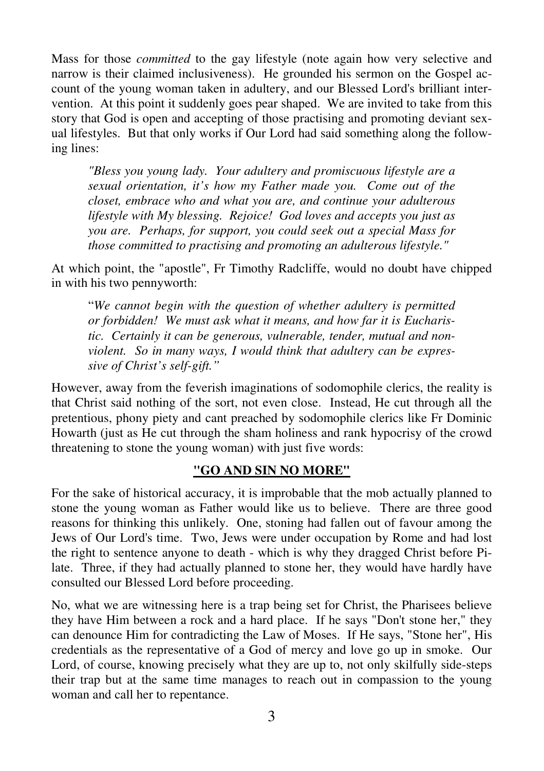Mass for those *committed* to the gay lifestyle (note again how very selective and narrow is their claimed inclusiveness). He grounded his sermon on the Gospel account of the young woman taken in adultery, and our Blessed Lord's brilliant intervention. At this point it suddenly goes pear shaped. We are invited to take from this story that God is open and accepting of those practising and promoting deviant sexual lifestyles. But that only works if Our Lord had said something along the following lines:

*"Bless you young lady. Your adultery and promiscuous lifestyle are a sexual orientation, it's how my Father made you. Come out of the closet, embrace who and what you are, and continue your adulterous lifestyle with My blessing. Rejoice! God loves and accepts you just as you are. Perhaps, for support, you could seek out a special Mass for those committed to practising and promoting an adulterous lifestyle."* 

At which point, the "apostle", Fr Timothy Radcliffe, would no doubt have chipped in with his two pennyworth:

"*We cannot begin with the question of whether adultery is permitted or forbidden! We must ask what it means, and how far it is Eucharistic. Certainly it can be generous, vulnerable, tender, mutual and nonviolent. So in many ways, I would think that adultery can be expressive of Christ's self-gift."*

However, away from the feverish imaginations of sodomophile clerics, the reality is that Christ said nothing of the sort, not even close. Instead, He cut through all the pretentious, phony piety and cant preached by sodomophile clerics like Fr Dominic Howarth (just as He cut through the sham holiness and rank hypocrisy of the crowd threatening to stone the young woman) with just five words:

# **"GO AND SIN NO MORE"**

For the sake of historical accuracy, it is improbable that the mob actually planned to stone the young woman as Father would like us to believe. There are three good reasons for thinking this unlikely. One, stoning had fallen out of favour among the Jews of Our Lord's time. Two, Jews were under occupation by Rome and had lost the right to sentence anyone to death - which is why they dragged Christ before Pilate. Three, if they had actually planned to stone her, they would have hardly have consulted our Blessed Lord before proceeding.

No, what we are witnessing here is a trap being set for Christ, the Pharisees believe they have Him between a rock and a hard place. If he says "Don't stone her," they can denounce Him for contradicting the Law of Moses. If He says, "Stone her", His credentials as the representative of a God of mercy and love go up in smoke. Our Lord, of course, knowing precisely what they are up to, not only skilfully side-steps their trap but at the same time manages to reach out in compassion to the young woman and call her to repentance.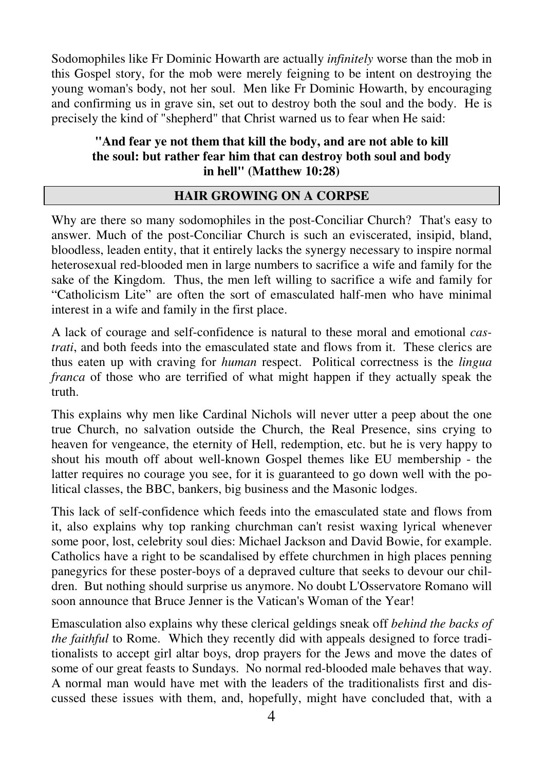Sodomophiles like Fr Dominic Howarth are actually *infinitely* worse than the mob in this Gospel story, for the mob were merely feigning to be intent on destroying the young woman's body, not her soul. Men like Fr Dominic Howarth, by encouraging and confirming us in grave sin, set out to destroy both the soul and the body. He is precisely the kind of "shepherd" that Christ warned us to fear when He said:

# **"And fear ye not them that kill the body, and are not able to kill the soul: but rather fear him that can destroy both soul and body in hell" (Matthew 10:28)**

# **HAIR GROWING ON A CORPSE**

Why are there so many sodomophiles in the post-Conciliar Church? That's easy to answer. Much of the post-Conciliar Church is such an eviscerated, insipid, bland, bloodless, leaden entity, that it entirely lacks the synergy necessary to inspire normal heterosexual red-blooded men in large numbers to sacrifice a wife and family for the sake of the Kingdom. Thus, the men left willing to sacrifice a wife and family for "Catholicism Lite" are often the sort of emasculated half-men who have minimal interest in a wife and family in the first place.

A lack of courage and self-confidence is natural to these moral and emotional *castrati*, and both feeds into the emasculated state and flows from it. These clerics are thus eaten up with craving for *human* respect. Political correctness is the *lingua franca* of those who are terrified of what might happen if they actually speak the truth.

This explains why men like Cardinal Nichols will never utter a peep about the one true Church, no salvation outside the Church, the Real Presence, sins crying to heaven for vengeance, the eternity of Hell, redemption, etc. but he is very happy to shout his mouth off about well-known Gospel themes like EU membership - the latter requires no courage you see, for it is guaranteed to go down well with the political classes, the BBC, bankers, big business and the Masonic lodges.

This lack of self-confidence which feeds into the emasculated state and flows from it, also explains why top ranking churchman can't resist waxing lyrical whenever some poor, lost, celebrity soul dies: Michael Jackson and David Bowie, for example. Catholics have a right to be scandalised by effete churchmen in high places penning panegyrics for these poster-boys of a depraved culture that seeks to devour our children. But nothing should surprise us anymore. No doubt L'Osservatore Romano will soon announce that Bruce Jenner is the Vatican's Woman of the Year!

Emasculation also explains why these clerical geldings sneak off *behind the backs of the faithful* to Rome. Which they recently did with appeals designed to force traditionalists to accept girl altar boys, drop prayers for the Jews and move the dates of some of our great feasts to Sundays. No normal red-blooded male behaves that way. A normal man would have met with the leaders of the traditionalists first and discussed these issues with them, and, hopefully, might have concluded that, with a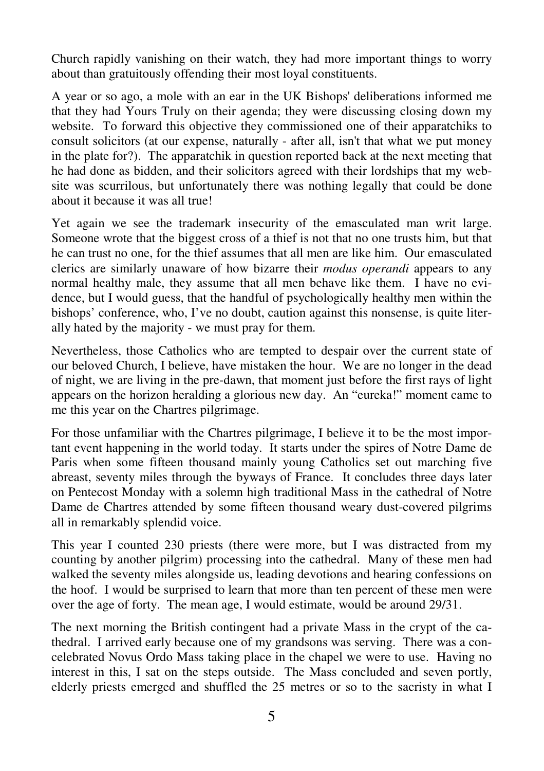Church rapidly vanishing on their watch, they had more important things to worry about than gratuitously offending their most loyal constituents.

A year or so ago, a mole with an ear in the UK Bishops' deliberations informed me that they had Yours Truly on their agenda; they were discussing closing down my website. To forward this objective they commissioned one of their apparatchiks to consult solicitors (at our expense, naturally - after all, isn't that what we put money in the plate for?). The apparatchik in question reported back at the next meeting that he had done as bidden, and their solicitors agreed with their lordships that my website was scurrilous, but unfortunately there was nothing legally that could be done about it because it was all true!

Yet again we see the trademark insecurity of the emasculated man writ large. Someone wrote that the biggest cross of a thief is not that no one trusts him, but that he can trust no one, for the thief assumes that all men are like him. Our emasculated clerics are similarly unaware of how bizarre their *modus operandi* appears to any normal healthy male, they assume that all men behave like them. I have no evidence, but I would guess, that the handful of psychologically healthy men within the bishops' conference, who, I've no doubt, caution against this nonsense, is quite literally hated by the majority - we must pray for them.

Nevertheless, those Catholics who are tempted to despair over the current state of our beloved Church, I believe, have mistaken the hour. We are no longer in the dead of night, we are living in the pre-dawn, that moment just before the first rays of light appears on the horizon heralding a glorious new day. An "eureka!" moment came to me this year on the Chartres pilgrimage.

For those unfamiliar with the Chartres pilgrimage, I believe it to be the most important event happening in the world today. It starts under the spires of Notre Dame de Paris when some fifteen thousand mainly young Catholics set out marching five abreast, seventy miles through the byways of France. It concludes three days later on Pentecost Monday with a solemn high traditional Mass in the cathedral of Notre Dame de Chartres attended by some fifteen thousand weary dust-covered pilgrims all in remarkably splendid voice.

This year I counted 230 priests (there were more, but I was distracted from my counting by another pilgrim) processing into the cathedral. Many of these men had walked the seventy miles alongside us, leading devotions and hearing confessions on the hoof. I would be surprised to learn that more than ten percent of these men were over the age of forty. The mean age, I would estimate, would be around 29/31.

The next morning the British contingent had a private Mass in the crypt of the cathedral. I arrived early because one of my grandsons was serving. There was a concelebrated Novus Ordo Mass taking place in the chapel we were to use. Having no interest in this, I sat on the steps outside. The Mass concluded and seven portly, elderly priests emerged and shuffled the 25 metres or so to the sacristy in what I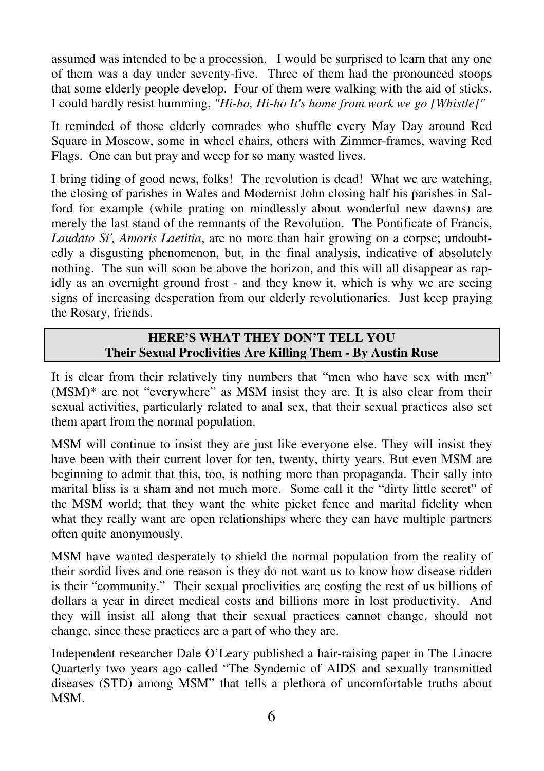assumed was intended to be a procession. I would be surprised to learn that any one of them was a day under seventy-five. Three of them had the pronounced stoops that some elderly people develop. Four of them were walking with the aid of sticks. I could hardly resist humming, *"Hi-ho, Hi-ho It's home from work we go [Whistle]"* 

It reminded of those elderly comrades who shuffle every May Day around Red Square in Moscow, some in wheel chairs, others with Zimmer-frames, waving Red Flags. One can but pray and weep for so many wasted lives.

I bring tiding of good news, folks! The revolution is dead! What we are watching, the closing of parishes in Wales and Modernist John closing half his parishes in Salford for example (while prating on mindlessly about wonderful new dawns) are merely the last stand of the remnants of the Revolution. The Pontificate of Francis, *Laudato Si', Amoris Laetitia*, are no more than hair growing on a corpse; undoubtedly a disgusting phenomenon, but, in the final analysis, indicative of absolutely nothing. The sun will soon be above the horizon, and this will all disappear as rapidly as an overnight ground frost - and they know it, which is why we are seeing signs of increasing desperation from our elderly revolutionaries. Just keep praying the Rosary, friends.

# **HERE'S WHAT THEY DON'T TELL YOU Their Sexual Proclivities Are Killing Them - By Austin Ruse**

It is clear from their relatively tiny numbers that "men who have sex with men" (MSM)\* are not "everywhere" as MSM insist they are. It is also clear from their sexual activities, particularly related to anal sex, that their sexual practices also set them apart from the normal population.

MSM will continue to insist they are just like everyone else. They will insist they have been with their current lover for ten, twenty, thirty years. But even MSM are beginning to admit that this, too, is nothing more than propaganda. Their sally into marital bliss is a sham and not much more. Some call it the "dirty little secret" of the MSM world; that they want the white picket fence and marital fidelity when what they really want are open relationships where they can have multiple partners often quite anonymously.

MSM have wanted desperately to shield the normal population from the reality of their sordid lives and one reason is they do not want us to know how disease ridden is their "community." Their sexual proclivities are costing the rest of us billions of dollars a year in direct medical costs and billions more in lost productivity. And they will insist all along that their sexual practices cannot change, should not change, since these practices are a part of who they are.

Independent researcher Dale O'Leary published a hair-raising paper in The Linacre Quarterly two years ago called "The Syndemic of AIDS and sexually transmitted diseases (STD) among MSM" that tells a plethora of uncomfortable truths about MSM.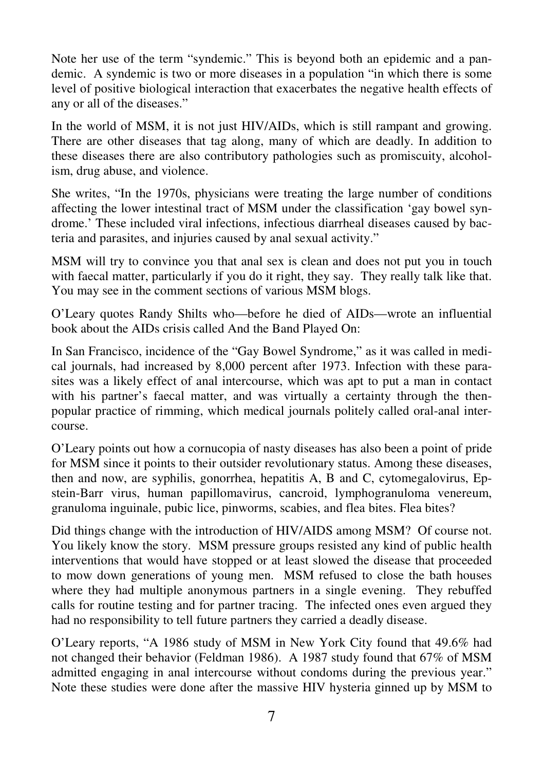Note her use of the term "syndemic." This is beyond both an epidemic and a pandemic. A syndemic is two or more diseases in a population "in which there is some level of positive biological interaction that exacerbates the negative health effects of any or all of the diseases."

In the world of MSM, it is not just HIV/AIDs, which is still rampant and growing. There are other diseases that tag along, many of which are deadly. In addition to these diseases there are also contributory pathologies such as promiscuity, alcoholism, drug abuse, and violence.

She writes, "In the 1970s, physicians were treating the large number of conditions affecting the lower intestinal tract of MSM under the classification 'gay bowel syndrome.' These included viral infections, infectious diarrheal diseases caused by bacteria and parasites, and injuries caused by anal sexual activity."

MSM will try to convince you that anal sex is clean and does not put you in touch with faecal matter, particularly if you do it right, they say. They really talk like that. You may see in the comment sections of various MSM blogs.

O'Leary quotes Randy Shilts who—before he died of AIDs—wrote an influential book about the AIDs crisis called And the Band Played On:

In San Francisco, incidence of the "Gay Bowel Syndrome," as it was called in medical journals, had increased by 8,000 percent after 1973. Infection with these parasites was a likely effect of anal intercourse, which was apt to put a man in contact with his partner's faecal matter, and was virtually a certainty through the thenpopular practice of rimming, which medical journals politely called oral-anal intercourse.

O'Leary points out how a cornucopia of nasty diseases has also been a point of pride for MSM since it points to their outsider revolutionary status. Among these diseases, then and now, are syphilis, gonorrhea, hepatitis A, B and C, cytomegalovirus, Epstein-Barr virus, human papillomavirus, cancroid, lymphogranuloma venereum, granuloma inguinale, pubic lice, pinworms, scabies, and flea bites. Flea bites?

Did things change with the introduction of HIV/AIDS among MSM? Of course not. You likely know the story. MSM pressure groups resisted any kind of public health interventions that would have stopped or at least slowed the disease that proceeded to mow down generations of young men. MSM refused to close the bath houses where they had multiple anonymous partners in a single evening. They rebuffed calls for routine testing and for partner tracing. The infected ones even argued they had no responsibility to tell future partners they carried a deadly disease.

O'Leary reports, "A 1986 study of MSM in New York City found that 49.6% had not changed their behavior (Feldman 1986). A 1987 study found that 67% of MSM admitted engaging in anal intercourse without condoms during the previous year." Note these studies were done after the massive HIV hysteria ginned up by MSM to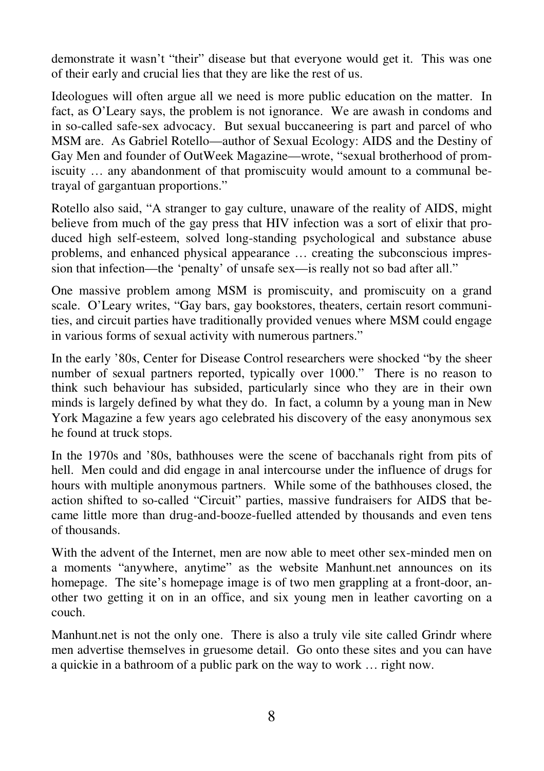demonstrate it wasn't "their" disease but that everyone would get it. This was one of their early and crucial lies that they are like the rest of us.

Ideologues will often argue all we need is more public education on the matter. In fact, as O'Leary says, the problem is not ignorance. We are awash in condoms and in so-called safe-sex advocacy. But sexual buccaneering is part and parcel of who MSM are. As Gabriel Rotello—author of Sexual Ecology: AIDS and the Destiny of Gay Men and founder of OutWeek Magazine—wrote, "sexual brotherhood of promiscuity … any abandonment of that promiscuity would amount to a communal betrayal of gargantuan proportions."

Rotello also said, "A stranger to gay culture, unaware of the reality of AIDS, might believe from much of the gay press that HIV infection was a sort of elixir that produced high self-esteem, solved long-standing psychological and substance abuse problems, and enhanced physical appearance … creating the subconscious impression that infection—the 'penalty' of unsafe sex—is really not so bad after all."

One massive problem among MSM is promiscuity, and promiscuity on a grand scale. O'Leary writes, "Gay bars, gay bookstores, theaters, certain resort communities, and circuit parties have traditionally provided venues where MSM could engage in various forms of sexual activity with numerous partners."

In the early '80s, Center for Disease Control researchers were shocked "by the sheer number of sexual partners reported, typically over 1000." There is no reason to think such behaviour has subsided, particularly since who they are in their own minds is largely defined by what they do. In fact, a column by a young man in New York Magazine a few years ago celebrated his discovery of the easy anonymous sex he found at truck stops.

In the 1970s and '80s, bathhouses were the scene of bacchanals right from pits of hell. Men could and did engage in anal intercourse under the influence of drugs for hours with multiple anonymous partners. While some of the bathhouses closed, the action shifted to so-called "Circuit" parties, massive fundraisers for AIDS that became little more than drug-and-booze-fuelled attended by thousands and even tens of thousands.

With the advent of the Internet, men are now able to meet other sex-minded men on a moments "anywhere, anytime" as the website Manhunt.net announces on its homepage. The site's homepage image is of two men grappling at a front-door, another two getting it on in an office, and six young men in leather cavorting on a couch.

Manhunt.net is not the only one. There is also a truly vile site called Grindr where men advertise themselves in gruesome detail. Go onto these sites and you can have a quickie in a bathroom of a public park on the way to work … right now.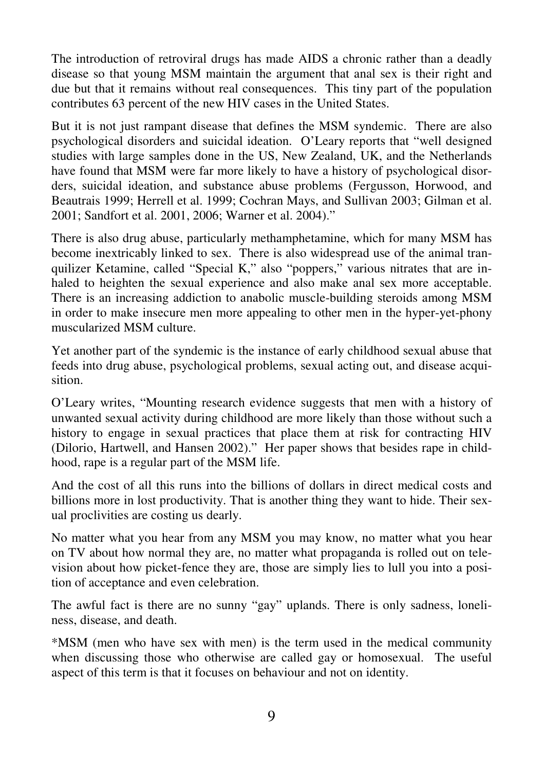The introduction of retroviral drugs has made AIDS a chronic rather than a deadly disease so that young MSM maintain the argument that anal sex is their right and due but that it remains without real consequences. This tiny part of the population contributes 63 percent of the new HIV cases in the United States.

But it is not just rampant disease that defines the MSM syndemic. There are also psychological disorders and suicidal ideation. O'Leary reports that "well designed studies with large samples done in the US, New Zealand, UK, and the Netherlands have found that MSM were far more likely to have a history of psychological disorders, suicidal ideation, and substance abuse problems (Fergusson, Horwood, and Beautrais 1999; Herrell et al. 1999; Cochran Mays, and Sullivan 2003; Gilman et al. 2001; Sandfort et al. 2001, 2006; Warner et al. 2004)."

There is also drug abuse, particularly methamphetamine, which for many MSM has become inextricably linked to sex. There is also widespread use of the animal tranquilizer Ketamine, called "Special K," also "poppers," various nitrates that are inhaled to heighten the sexual experience and also make anal sex more acceptable. There is an increasing addiction to anabolic muscle-building steroids among MSM in order to make insecure men more appealing to other men in the hyper-yet-phony muscularized MSM culture.

Yet another part of the syndemic is the instance of early childhood sexual abuse that feeds into drug abuse, psychological problems, sexual acting out, and disease acquisition.

O'Leary writes, "Mounting research evidence suggests that men with a history of unwanted sexual activity during childhood are more likely than those without such a history to engage in sexual practices that place them at risk for contracting HIV (Dilorio, Hartwell, and Hansen 2002)." Her paper shows that besides rape in childhood, rape is a regular part of the MSM life.

And the cost of all this runs into the billions of dollars in direct medical costs and billions more in lost productivity. That is another thing they want to hide. Their sexual proclivities are costing us dearly.

No matter what you hear from any MSM you may know, no matter what you hear on TV about how normal they are, no matter what propaganda is rolled out on television about how picket-fence they are, those are simply lies to lull you into a position of acceptance and even celebration.

The awful fact is there are no sunny "gay" uplands. There is only sadness, loneliness, disease, and death.

\*MSM (men who have sex with men) is the term used in the medical community when discussing those who otherwise are called gay or homosexual. The useful aspect of this term is that it focuses on behaviour and not on identity.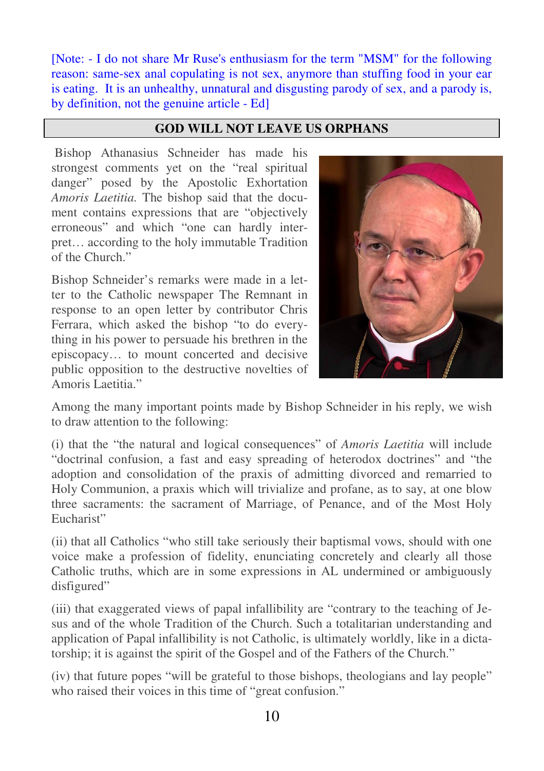[Note: - I do not share Mr Ruse's enthusiasm for the term "MSM" for the following reason: same-sex anal copulating is not sex, anymore than stuffing food in your ear is eating. It is an unhealthy, unnatural and disgusting parody of sex, and a parody is, by definition, not the genuine article - Ed]

## **GOD WILL NOT LEAVE US ORPHANS**

 Bishop Athanasius Schneider has made his strongest comments yet on the "real spiritual danger" posed by the Apostolic Exhortation *Amoris Laetitia.* The bishop said that the document contains expressions that are "objectively erroneous" and which "one can hardly interpret… according to the holy immutable Tradition of the Church."

Bishop Schneider's remarks were made in a letter to the Catholic newspaper The Remnant in response to an open letter by contributor Chris Ferrara, which asked the bishop "to do everything in his power to persuade his brethren in the episcopacy… to mount concerted and decisive public opposition to the destructive novelties of Amoris Laetitia."



Among the many important points made by Bishop Schneider in his reply, we wish to draw attention to the following:

(i) that the "the natural and logical consequences" of *Amoris Laetitia* will include "doctrinal confusion, a fast and easy spreading of heterodox doctrines" and "the adoption and consolidation of the praxis of admitting divorced and remarried to Holy Communion, a praxis which will trivialize and profane, as to say, at one blow three sacraments: the sacrament of Marriage, of Penance, and of the Most Holy Eucharist"

(ii) that all Catholics "who still take seriously their baptismal vows, should with one voice make a profession of fidelity, enunciating concretely and clearly all those Catholic truths, which are in some expressions in AL undermined or ambiguously disfigured"

(iii) that exaggerated views of papal infallibility are "contrary to the teaching of Jesus and of the whole Tradition of the Church. Such a totalitarian understanding and application of Papal infallibility is not Catholic, is ultimately worldly, like in a dictatorship; it is against the spirit of the Gospel and of the Fathers of the Church."

(iv) that future popes "will be grateful to those bishops, theologians and lay people" who raised their voices in this time of "great confusion."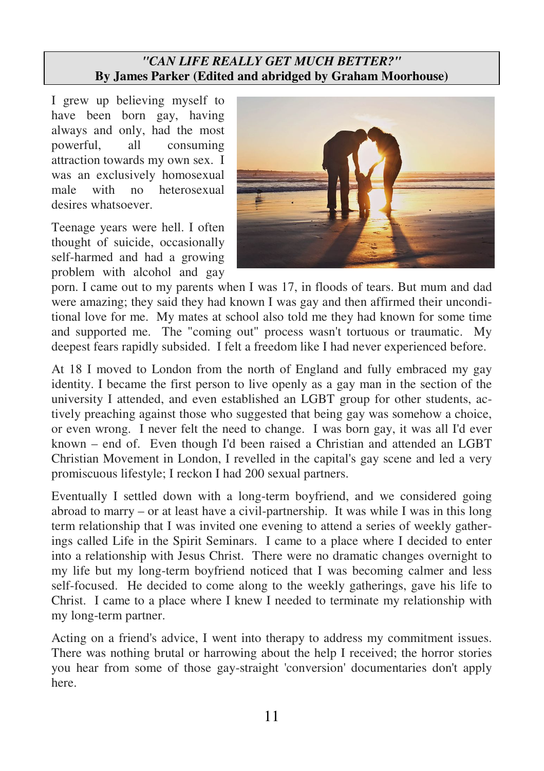# *"CAN LIFE REALLY GET MUCH BETTER?"* **By James Parker (Edited and abridged by Graham Moorhouse)**

I grew up believing myself to have been born gay, having always and only, had the most powerful, all consuming attraction towards my own sex. I was an exclusively homosexual male with no heterosexual desires whatsoever.

Teenage years were hell. I often thought of suicide, occasionally self-harmed and had a growing problem with alcohol and gay



porn. I came out to my parents when I was 17, in floods of tears. But mum and dad were amazing; they said they had known I was gay and then affirmed their unconditional love for me. My mates at school also told me they had known for some time and supported me. The "coming out" process wasn't tortuous or traumatic. My deepest fears rapidly subsided. I felt a freedom like I had never experienced before.

At 18 I moved to London from the north of England and fully embraced my gay identity. I became the first person to live openly as a gay man in the section of the university I attended, and even established an LGBT group for other students, actively preaching against those who suggested that being gay was somehow a choice, or even wrong. I never felt the need to change. I was born gay, it was all I'd ever known – end of. Even though I'd been raised a Christian and attended an LGBT Christian Movement in London, I revelled in the capital's gay scene and led a very promiscuous lifestyle; I reckon I had 200 sexual partners.

Eventually I settled down with a long-term boyfriend, and we considered going abroad to marry – or at least have a civil-partnership. It was while I was in this long term relationship that I was invited one evening to attend a series of weekly gatherings called Life in the Spirit Seminars. I came to a place where I decided to enter into a relationship with Jesus Christ. There were no dramatic changes overnight to my life but my long-term boyfriend noticed that I was becoming calmer and less self-focused. He decided to come along to the weekly gatherings, gave his life to Christ. I came to a place where I knew I needed to terminate my relationship with my long-term partner.

Acting on a friend's advice, I went into therapy to address my commitment issues. There was nothing brutal or harrowing about the help I received; the horror stories you hear from some of those gay-straight 'conversion' documentaries don't apply here.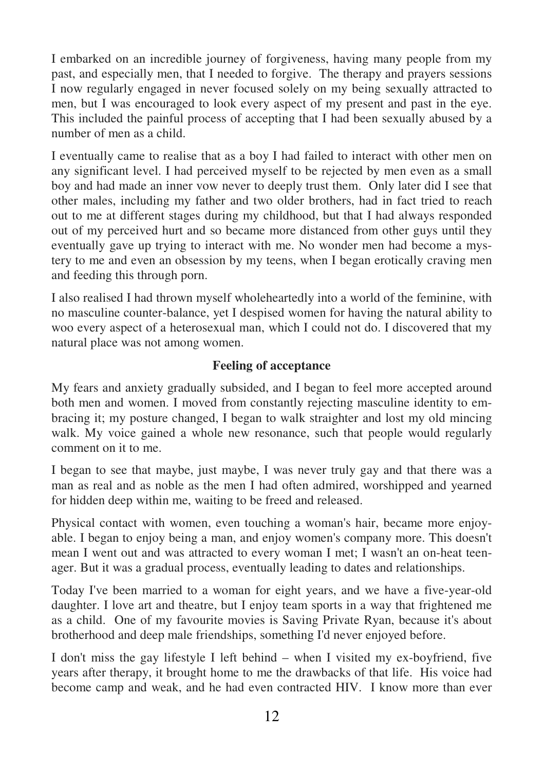I embarked on an incredible journey of forgiveness, having many people from my past, and especially men, that I needed to forgive. The therapy and prayers sessions I now regularly engaged in never focused solely on my being sexually attracted to men, but I was encouraged to look every aspect of my present and past in the eye. This included the painful process of accepting that I had been sexually abused by a number of men as a child.

I eventually came to realise that as a boy I had failed to interact with other men on any significant level. I had perceived myself to be rejected by men even as a small boy and had made an inner vow never to deeply trust them. Only later did I see that other males, including my father and two older brothers, had in fact tried to reach out to me at different stages during my childhood, but that I had always responded out of my perceived hurt and so became more distanced from other guys until they eventually gave up trying to interact with me. No wonder men had become a mystery to me and even an obsession by my teens, when I began erotically craving men and feeding this through porn.

I also realised I had thrown myself wholeheartedly into a world of the feminine, with no masculine counter-balance, yet I despised women for having the natural ability to woo every aspect of a heterosexual man, which I could not do. I discovered that my natural place was not among women.

## **Feeling of acceptance**

My fears and anxiety gradually subsided, and I began to feel more accepted around both men and women. I moved from constantly rejecting masculine identity to embracing it; my posture changed, I began to walk straighter and lost my old mincing walk. My voice gained a whole new resonance, such that people would regularly comment on it to me.

I began to see that maybe, just maybe, I was never truly gay and that there was a man as real and as noble as the men I had often admired, worshipped and yearned for hidden deep within me, waiting to be freed and released.

Physical contact with women, even touching a woman's hair, became more enjoyable. I began to enjoy being a man, and enjoy women's company more. This doesn't mean I went out and was attracted to every woman I met; I wasn't an on-heat teenager. But it was a gradual process, eventually leading to dates and relationships.

Today I've been married to a woman for eight years, and we have a five-year-old daughter. I love art and theatre, but I enjoy team sports in a way that frightened me as a child. One of my favourite movies is Saving Private Ryan, because it's about brotherhood and deep male friendships, something I'd never enjoyed before.

I don't miss the gay lifestyle I left behind – when I visited my ex-boyfriend, five years after therapy, it brought home to me the drawbacks of that life. His voice had become camp and weak, and he had even contracted HIV. I know more than ever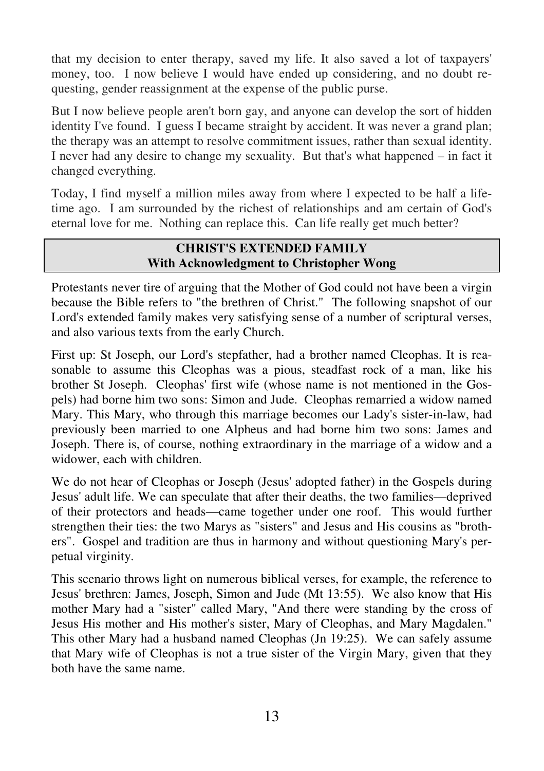that my decision to enter therapy, saved my life. It also saved a lot of taxpayers' money, too. I now believe I would have ended up considering, and no doubt requesting, gender reassignment at the expense of the public purse.

But I now believe people aren't born gay, and anyone can develop the sort of hidden identity I've found. I guess I became straight by accident. It was never a grand plan; the therapy was an attempt to resolve commitment issues, rather than sexual identity. I never had any desire to change my sexuality. But that's what happened – in fact it changed everything.

Today, I find myself a million miles away from where I expected to be half a lifetime ago. I am surrounded by the richest of relationships and am certain of God's eternal love for me. Nothing can replace this. Can life really get much better?

# **CHRIST'S EXTENDED FAMILY With Acknowledgment to Christopher Wong**

Protestants never tire of arguing that the Mother of God could not have been a virgin because the Bible refers to "the brethren of Christ." The following snapshot of our Lord's extended family makes very satisfying sense of a number of scriptural verses, and also various texts from the early Church.

First up: St Joseph, our Lord's stepfather, had a brother named Cleophas. It is reasonable to assume this Cleophas was a pious, steadfast rock of a man, like his brother St Joseph. Cleophas' first wife (whose name is not mentioned in the Gospels) had borne him two sons: Simon and Jude. Cleophas remarried a widow named Mary. This Mary, who through this marriage becomes our Lady's sister-in-law, had previously been married to one Alpheus and had borne him two sons: James and Joseph. There is, of course, nothing extraordinary in the marriage of a widow and a widower, each with children.

We do not hear of Cleophas or Joseph (Jesus' adopted father) in the Gospels during Jesus' adult life. We can speculate that after their deaths, the two families—deprived of their protectors and heads—came together under one roof. This would further strengthen their ties: the two Marys as "sisters" and Jesus and His cousins as "brothers". Gospel and tradition are thus in harmony and without questioning Mary's perpetual virginity.

This scenario throws light on numerous biblical verses, for example, the reference to Jesus' brethren: James, Joseph, Simon and Jude (Mt 13:55). We also know that His mother Mary had a "sister" called Mary, "And there were standing by the cross of Jesus His mother and His mother's sister, Mary of Cleophas, and Mary Magdalen." This other Mary had a husband named Cleophas (Jn 19:25). We can safely assume that Mary wife of Cleophas is not a true sister of the Virgin Mary, given that they both have the same name.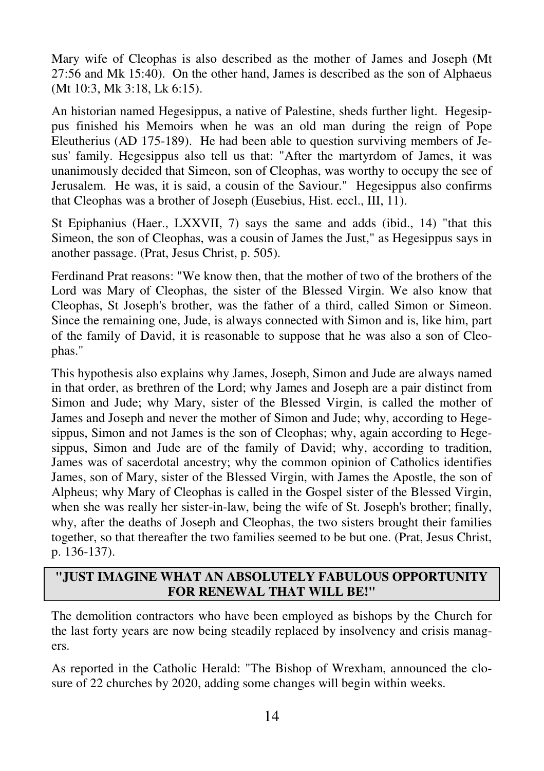Mary wife of Cleophas is also described as the mother of James and Joseph (Mt 27:56 and Mk 15:40). On the other hand, James is described as the son of Alphaeus (Mt 10:3, Mk 3:18, Lk 6:15).

An historian named Hegesippus, a native of Palestine, sheds further light. Hegesippus finished his Memoirs when he was an old man during the reign of Pope Eleutherius (AD 175-189). He had been able to question surviving members of Jesus' family. Hegesippus also tell us that: "After the martyrdom of James, it was unanimously decided that Simeon, son of Cleophas, was worthy to occupy the see of Jerusalem. He was, it is said, a cousin of the Saviour." Hegesippus also confirms that Cleophas was a brother of Joseph (Eusebius, Hist. eccl., III, 11).

St Epiphanius (Haer., LXXVII, 7) says the same and adds (ibid., 14) "that this Simeon, the son of Cleophas, was a cousin of James the Just," as Hegesippus says in another passage. (Prat, Jesus Christ, p. 505).

Ferdinand Prat reasons: "We know then, that the mother of two of the brothers of the Lord was Mary of Cleophas, the sister of the Blessed Virgin. We also know that Cleophas, St Joseph's brother, was the father of a third, called Simon or Simeon. Since the remaining one, Jude, is always connected with Simon and is, like him, part of the family of David, it is reasonable to suppose that he was also a son of Cleophas."

This hypothesis also explains why James, Joseph, Simon and Jude are always named in that order, as brethren of the Lord; why James and Joseph are a pair distinct from Simon and Jude; why Mary, sister of the Blessed Virgin, is called the mother of James and Joseph and never the mother of Simon and Jude; why, according to Hegesippus, Simon and not James is the son of Cleophas; why, again according to Hegesippus, Simon and Jude are of the family of David; why, according to tradition, James was of sacerdotal ancestry; why the common opinion of Catholics identifies James, son of Mary, sister of the Blessed Virgin, with James the Apostle, the son of Alpheus; why Mary of Cleophas is called in the Gospel sister of the Blessed Virgin, when she was really her sister-in-law, being the wife of St. Joseph's brother; finally, why, after the deaths of Joseph and Cleophas, the two sisters brought their families together, so that thereafter the two families seemed to be but one. (Prat, Jesus Christ, p. 136-137).

# **"JUST IMAGINE WHAT AN ABSOLUTELY FABULOUS OPPORTUNITY FOR RENEWAL THAT WILL BE!"**

The demolition contractors who have been employed as bishops by the Church for the last forty years are now being steadily replaced by insolvency and crisis managers.

As reported in the Catholic Herald: "The Bishop of Wrexham, announced the closure of 22 churches by 2020, adding some changes will begin within weeks.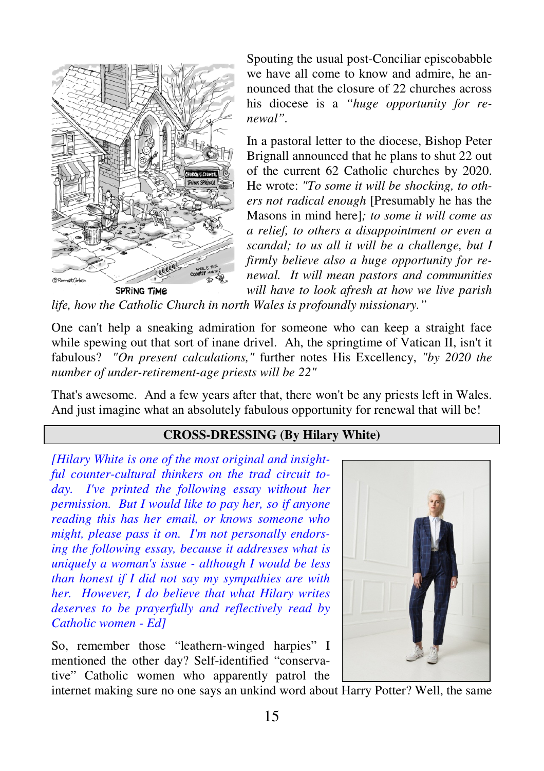

Spouting the usual post-Conciliar episcobabble we have all come to know and admire, he announced that the closure of 22 churches across his diocese is a *"huge opportunity for renewal".* 

In a pastoral letter to the diocese, Bishop Peter Brignall announced that he plans to shut 22 out of the current 62 Catholic churches by 2020. He wrote: *"To some it will be shocking, to others not radical enough* [Presumably he has the Masons in mind here]*; to some it will come as a relief, to others a disappointment or even a scandal; to us all it will be a challenge, but I firmly believe also a huge opportunity for renewal. It will mean pastors and communities will have to look afresh at how we live parish* 

*life, how the Catholic Church in north Wales is profoundly missionary."* 

One can't help a sneaking admiration for someone who can keep a straight face while spewing out that sort of inane drivel. Ah, the springtime of Vatican II, isn't it fabulous? *"On present calculations,"* further notes His Excellency, *"by 2020 the number of under-retirement-age priests will be 22"* 

That's awesome. And a few years after that, there won't be any priests left in Wales. And just imagine what an absolutely fabulous opportunity for renewal that will be!

# **CROSS-DRESSING (By Hilary White)**

*[Hilary White is one of the most original and insightful counter-cultural thinkers on the trad circuit today. I've printed the following essay without her permission. But I would like to pay her, so if anyone reading this has her email, or knows someone who might, please pass it on. I'm not personally endorsing the following essay, because it addresses what is uniquely a woman's issue - although I would be less than honest if I did not say my sympathies are with her. However, I do believe that what Hilary writes deserves to be prayerfully and reflectively read by Catholic women - Ed]* 

So, remember those "leathern-winged harpies" I mentioned the other day? Self-identified "conservative" Catholic women who apparently patrol the



internet making sure no one says an unkind word about Harry Potter? Well, the same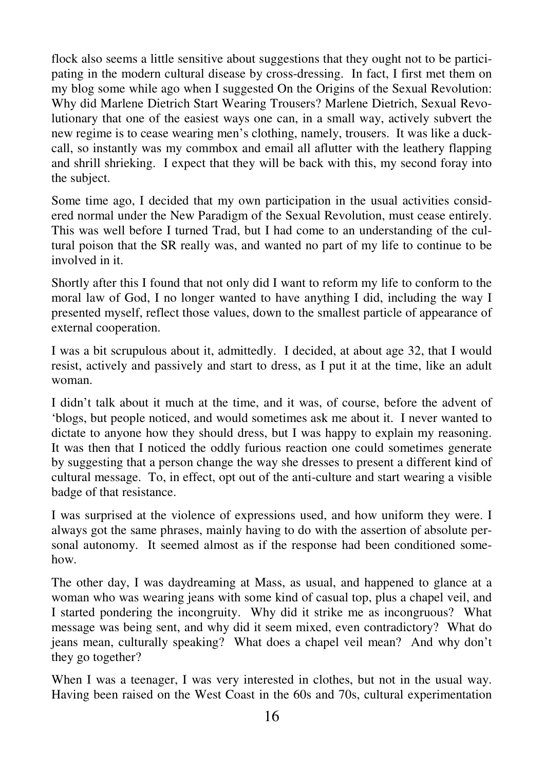flock also seems a little sensitive about suggestions that they ought not to be participating in the modern cultural disease by cross-dressing. In fact, I first met them on my blog some while ago when I suggested On the Origins of the Sexual Revolution: Why did Marlene Dietrich Start Wearing Trousers? Marlene Dietrich, Sexual Revolutionary that one of the easiest ways one can, in a small way, actively subvert the new regime is to cease wearing men's clothing, namely, trousers. It was like a duckcall, so instantly was my commbox and email all aflutter with the leathery flapping and shrill shrieking. I expect that they will be back with this, my second foray into the subject.

Some time ago, I decided that my own participation in the usual activities considered normal under the New Paradigm of the Sexual Revolution, must cease entirely. This was well before I turned Trad, but I had come to an understanding of the cultural poison that the SR really was, and wanted no part of my life to continue to be involved in it.

Shortly after this I found that not only did I want to reform my life to conform to the moral law of God, I no longer wanted to have anything I did, including the way I presented myself, reflect those values, down to the smallest particle of appearance of external cooperation.

I was a bit scrupulous about it, admittedly. I decided, at about age 32, that I would resist, actively and passively and start to dress, as I put it at the time, like an adult woman.

I didn't talk about it much at the time, and it was, of course, before the advent of 'blogs, but people noticed, and would sometimes ask me about it. I never wanted to dictate to anyone how they should dress, but I was happy to explain my reasoning. It was then that I noticed the oddly furious reaction one could sometimes generate by suggesting that a person change the way she dresses to present a different kind of cultural message. To, in effect, opt out of the anti-culture and start wearing a visible badge of that resistance.

I was surprised at the violence of expressions used, and how uniform they were. I always got the same phrases, mainly having to do with the assertion of absolute personal autonomy. It seemed almost as if the response had been conditioned somehow.

The other day, I was daydreaming at Mass, as usual, and happened to glance at a woman who was wearing jeans with some kind of casual top, plus a chapel veil, and I started pondering the incongruity. Why did it strike me as incongruous? What message was being sent, and why did it seem mixed, even contradictory? What do jeans mean, culturally speaking? What does a chapel veil mean? And why don't they go together?

When I was a teenager, I was very interested in clothes, but not in the usual way. Having been raised on the West Coast in the 60s and 70s, cultural experimentation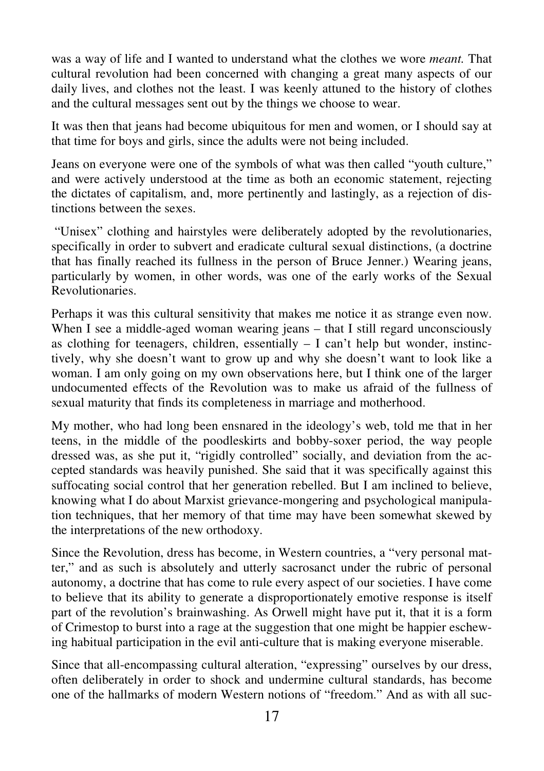was a way of life and I wanted to understand what the clothes we wore *meant.* That cultural revolution had been concerned with changing a great many aspects of our daily lives, and clothes not the least. I was keenly attuned to the history of clothes and the cultural messages sent out by the things we choose to wear.

It was then that jeans had become ubiquitous for men and women, or I should say at that time for boys and girls, since the adults were not being included.

Jeans on everyone were one of the symbols of what was then called "youth culture," and were actively understood at the time as both an economic statement, rejecting the dictates of capitalism, and, more pertinently and lastingly, as a rejection of distinctions between the sexes.

 "Unisex" clothing and hairstyles were deliberately adopted by the revolutionaries, specifically in order to subvert and eradicate cultural sexual distinctions, (a doctrine that has finally reached its fullness in the person of Bruce Jenner.) Wearing jeans, particularly by women, in other words, was one of the early works of the Sexual Revolutionaries.

Perhaps it was this cultural sensitivity that makes me notice it as strange even now. When I see a middle-aged woman wearing jeans – that I still regard unconsciously as clothing for teenagers, children, essentially  $- I$  can't help but wonder, instinctively, why she doesn't want to grow up and why she doesn't want to look like a woman. I am only going on my own observations here, but I think one of the larger undocumented effects of the Revolution was to make us afraid of the fullness of sexual maturity that finds its completeness in marriage and motherhood.

My mother, who had long been ensnared in the ideology's web, told me that in her teens, in the middle of the poodleskirts and bobby-soxer period, the way people dressed was, as she put it, "rigidly controlled" socially, and deviation from the accepted standards was heavily punished. She said that it was specifically against this suffocating social control that her generation rebelled. But I am inclined to believe, knowing what I do about Marxist grievance-mongering and psychological manipulation techniques, that her memory of that time may have been somewhat skewed by the interpretations of the new orthodoxy.

Since the Revolution, dress has become, in Western countries, a "very personal matter," and as such is absolutely and utterly sacrosanct under the rubric of personal autonomy, a doctrine that has come to rule every aspect of our societies. I have come to believe that its ability to generate a disproportionately emotive response is itself part of the revolution's brainwashing. As Orwell might have put it, that it is a form of Crimestop to burst into a rage at the suggestion that one might be happier eschewing habitual participation in the evil anti-culture that is making everyone miserable.

Since that all-encompassing cultural alteration, "expressing" ourselves by our dress, often deliberately in order to shock and undermine cultural standards, has become one of the hallmarks of modern Western notions of "freedom." And as with all suc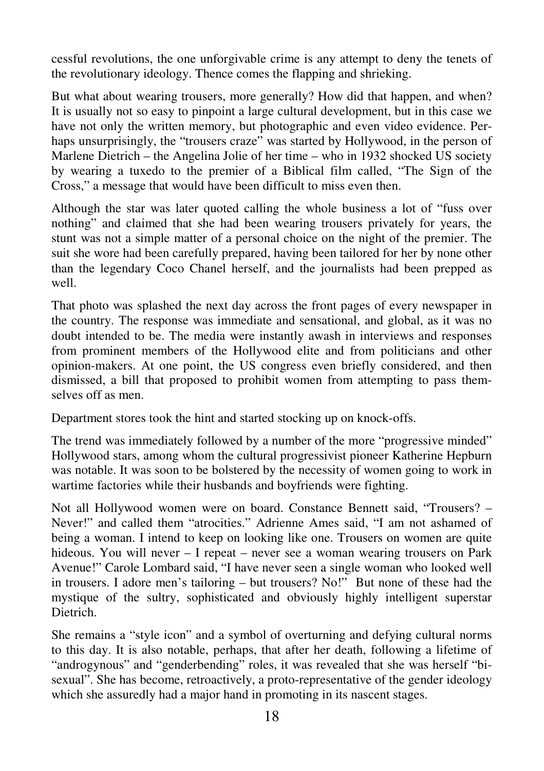cessful revolutions, the one unforgivable crime is any attempt to deny the tenets of the revolutionary ideology. Thence comes the flapping and shrieking.

But what about wearing trousers, more generally? How did that happen, and when? It is usually not so easy to pinpoint a large cultural development, but in this case we have not only the written memory, but photographic and even video evidence. Perhaps unsurprisingly, the "trousers craze" was started by Hollywood, in the person of Marlene Dietrich – the Angelina Jolie of her time – who in 1932 shocked US society by wearing a tuxedo to the premier of a Biblical film called, "The Sign of the Cross," a message that would have been difficult to miss even then.

Although the star was later quoted calling the whole business a lot of "fuss over nothing" and claimed that she had been wearing trousers privately for years, the stunt was not a simple matter of a personal choice on the night of the premier. The suit she wore had been carefully prepared, having been tailored for her by none other than the legendary Coco Chanel herself, and the journalists had been prepped as well.

That photo was splashed the next day across the front pages of every newspaper in the country. The response was immediate and sensational, and global, as it was no doubt intended to be. The media were instantly awash in interviews and responses from prominent members of the Hollywood elite and from politicians and other opinion-makers. At one point, the US congress even briefly considered, and then dismissed, a bill that proposed to prohibit women from attempting to pass themselves off as men.

Department stores took the hint and started stocking up on knock-offs.

The trend was immediately followed by a number of the more "progressive minded" Hollywood stars, among whom the cultural progressivist pioneer Katherine Hepburn was notable. It was soon to be bolstered by the necessity of women going to work in wartime factories while their husbands and boyfriends were fighting.

Not all Hollywood women were on board. Constance Bennett said, "Trousers? – Never!" and called them "atrocities." Adrienne Ames said, "I am not ashamed of being a woman. I intend to keep on looking like one. Trousers on women are quite hideous. You will never – I repeat – never see a woman wearing trousers on Park Avenue!" Carole Lombard said, "I have never seen a single woman who looked well in trousers. I adore men's tailoring – but trousers? No!" But none of these had the mystique of the sultry, sophisticated and obviously highly intelligent superstar Dietrich.

She remains a "style icon" and a symbol of overturning and defying cultural norms to this day. It is also notable, perhaps, that after her death, following a lifetime of "androgynous" and "genderbending" roles, it was revealed that she was herself "bisexual". She has become, retroactively, a proto-representative of the gender ideology which she assuredly had a major hand in promoting in its nascent stages.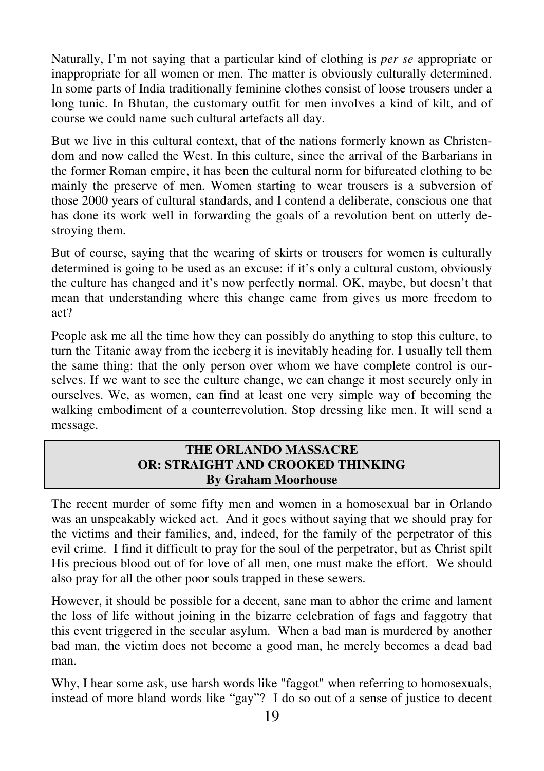Naturally, I'm not saying that a particular kind of clothing is *per se* appropriate or inappropriate for all women or men. The matter is obviously culturally determined. In some parts of India traditionally feminine clothes consist of loose trousers under a long tunic. In Bhutan, the customary outfit for men involves a kind of kilt, and of course we could name such cultural artefacts all day.

But we live in this cultural context, that of the nations formerly known as Christendom and now called the West. In this culture, since the arrival of the Barbarians in the former Roman empire, it has been the cultural norm for bifurcated clothing to be mainly the preserve of men. Women starting to wear trousers is a subversion of those 2000 years of cultural standards, and I contend a deliberate, conscious one that has done its work well in forwarding the goals of a revolution bent on utterly destroying them.

But of course, saying that the wearing of skirts or trousers for women is culturally determined is going to be used as an excuse: if it's only a cultural custom, obviously the culture has changed and it's now perfectly normal. OK, maybe, but doesn't that mean that understanding where this change came from gives us more freedom to act?

People ask me all the time how they can possibly do anything to stop this culture, to turn the Titanic away from the iceberg it is inevitably heading for. I usually tell them the same thing: that the only person over whom we have complete control is ourselves. If we want to see the culture change, we can change it most securely only in ourselves. We, as women, can find at least one very simple way of becoming the walking embodiment of a counterrevolution. Stop dressing like men. It will send a message.

## **THE ORLANDO MASSACRE OR: STRAIGHT AND CROOKED THINKING By Graham Moorhouse**

The recent murder of some fifty men and women in a homosexual bar in Orlando was an unspeakably wicked act. And it goes without saying that we should pray for the victims and their families, and, indeed, for the family of the perpetrator of this evil crime. I find it difficult to pray for the soul of the perpetrator, but as Christ spilt His precious blood out of for love of all men, one must make the effort. We should also pray for all the other poor souls trapped in these sewers.

However, it should be possible for a decent, sane man to abhor the crime and lament the loss of life without joining in the bizarre celebration of fags and faggotry that this event triggered in the secular asylum. When a bad man is murdered by another bad man, the victim does not become a good man, he merely becomes a dead bad man.

Why, I hear some ask, use harsh words like "faggot" when referring to homosexuals, instead of more bland words like "gay"? I do so out of a sense of justice to decent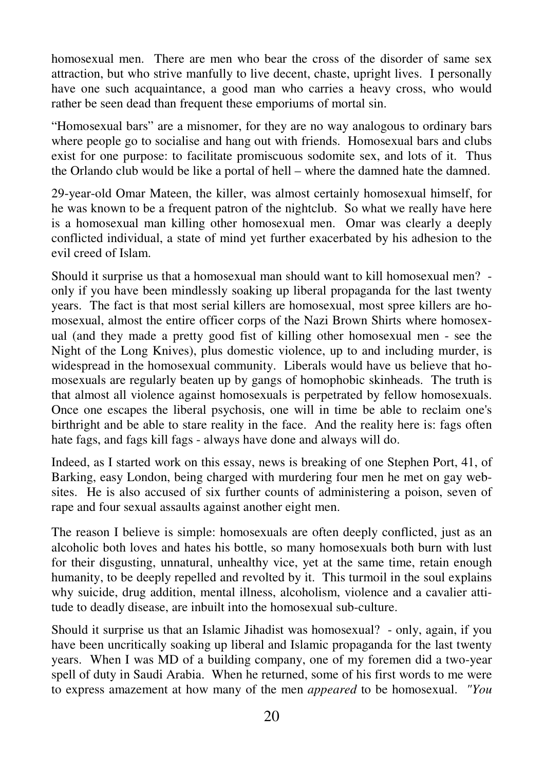homosexual men. There are men who bear the cross of the disorder of same sex attraction, but who strive manfully to live decent, chaste, upright lives. I personally have one such acquaintance, a good man who carries a heavy cross, who would rather be seen dead than frequent these emporiums of mortal sin.

"Homosexual bars" are a misnomer, for they are no way analogous to ordinary bars where people go to socialise and hang out with friends. Homosexual bars and clubs exist for one purpose: to facilitate promiscuous sodomite sex, and lots of it. Thus the Orlando club would be like a portal of hell – where the damned hate the damned.

29-year-old Omar Mateen, the killer, was almost certainly homosexual himself, for he was known to be a frequent patron of the nightclub. So what we really have here is a homosexual man killing other homosexual men. Omar was clearly a deeply conflicted individual, a state of mind yet further exacerbated by his adhesion to the evil creed of Islam.

Should it surprise us that a homosexual man should want to kill homosexual men? only if you have been mindlessly soaking up liberal propaganda for the last twenty years. The fact is that most serial killers are homosexual, most spree killers are homosexual, almost the entire officer corps of the Nazi Brown Shirts where homosexual (and they made a pretty good fist of killing other homosexual men - see the Night of the Long Knives), plus domestic violence, up to and including murder, is widespread in the homosexual community. Liberals would have us believe that homosexuals are regularly beaten up by gangs of homophobic skinheads. The truth is that almost all violence against homosexuals is perpetrated by fellow homosexuals. Once one escapes the liberal psychosis, one will in time be able to reclaim one's birthright and be able to stare reality in the face. And the reality here is: fags often hate fags, and fags kill fags - always have done and always will do.

Indeed, as I started work on this essay, news is breaking of one Stephen Port, 41, of Barking, easy London, being charged with murdering four men he met on gay websites. He is also accused of six further counts of administering a poison, seven of rape and four sexual assaults against another eight men.

The reason I believe is simple: homosexuals are often deeply conflicted, just as an alcoholic both loves and hates his bottle, so many homosexuals both burn with lust for their disgusting, unnatural, unhealthy vice, yet at the same time, retain enough humanity, to be deeply repelled and revolted by it. This turmoil in the soul explains why suicide, drug addition, mental illness, alcoholism, violence and a cavalier attitude to deadly disease, are inbuilt into the homosexual sub-culture.

Should it surprise us that an Islamic Jihadist was homosexual? - only, again, if you have been uncritically soaking up liberal and Islamic propaganda for the last twenty years. When I was MD of a building company, one of my foremen did a two-year spell of duty in Saudi Arabia. When he returned, some of his first words to me were to express amazement at how many of the men *appeared* to be homosexual. *"You*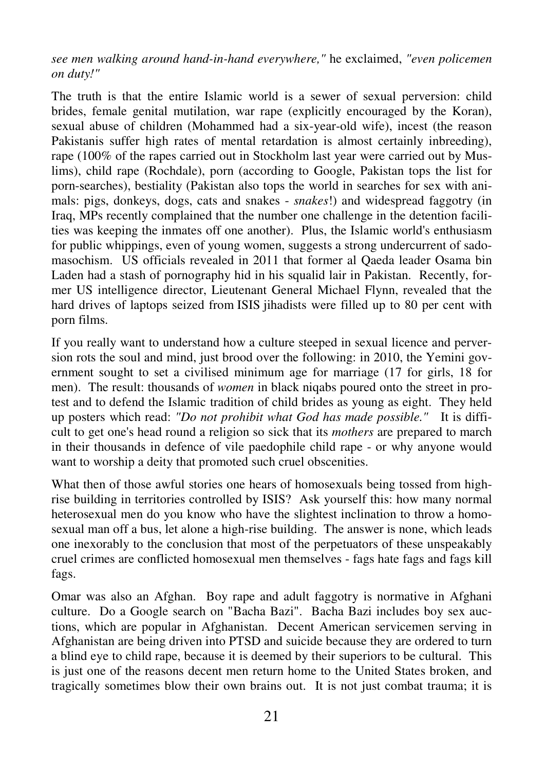*see men walking around hand-in-hand everywhere,"* he exclaimed, *"even policemen on duty!"*

The truth is that the entire Islamic world is a sewer of sexual perversion: child brides, female genital mutilation, war rape (explicitly encouraged by the Koran), sexual abuse of children (Mohammed had a six-year-old wife), incest (the reason Pakistanis suffer high rates of mental retardation is almost certainly inbreeding), rape (100% of the rapes carried out in Stockholm last year were carried out by Muslims), child rape (Rochdale), porn (according to Google, Pakistan tops the list for porn-searches), bestiality (Pakistan also tops the world in searches for sex with animals: pigs, donkeys, dogs, cats and snakes - *snakes*!) and widespread faggotry (in Iraq, MPs recently complained that the number one challenge in the detention facilities was keeping the inmates off one another). Plus, the Islamic world's enthusiasm for public whippings, even of young women, suggests a strong undercurrent of sadomasochism. US officials revealed in 2011 that former al Qaeda leader Osama bin Laden had a stash of pornography hid in his squalid lair in Pakistan. Recently, former US intelligence director, Lieutenant General Michael Flynn, revealed that the hard drives of laptops seized from ISIS jihadists were filled up to 80 per cent with porn films.

If you really want to understand how a culture steeped in sexual licence and perversion rots the soul and mind, just brood over the following: in 2010, the Yemini government sought to set a civilised minimum age for marriage (17 for girls, 18 for men). The result: thousands of *women* in black niqabs poured onto the street in protest and to defend the Islamic tradition of child brides as young as eight. They held up posters which read: *"Do not prohibit what God has made possible."* It is difficult to get one's head round a religion so sick that its *mothers* are prepared to march in their thousands in defence of vile paedophile child rape - or why anyone would want to worship a deity that promoted such cruel obscenities.

What then of those awful stories one hears of homosexuals being tossed from highrise building in territories controlled by ISIS? Ask yourself this: how many normal heterosexual men do you know who have the slightest inclination to throw a homosexual man off a bus, let alone a high-rise building. The answer is none, which leads one inexorably to the conclusion that most of the perpetuators of these unspeakably cruel crimes are conflicted homosexual men themselves - fags hate fags and fags kill fags.

Omar was also an Afghan. Boy rape and adult faggotry is normative in Afghani culture. Do a Google search on "Bacha Bazi". Bacha Bazi includes boy sex auctions, which are popular in Afghanistan. Decent American servicemen serving in Afghanistan are being driven into PTSD and suicide because they are ordered to turn a blind eye to child rape, because it is deemed by their superiors to be cultural. This is just one of the reasons decent men return home to the United States broken, and tragically sometimes blow their own brains out. It is not just combat trauma; it is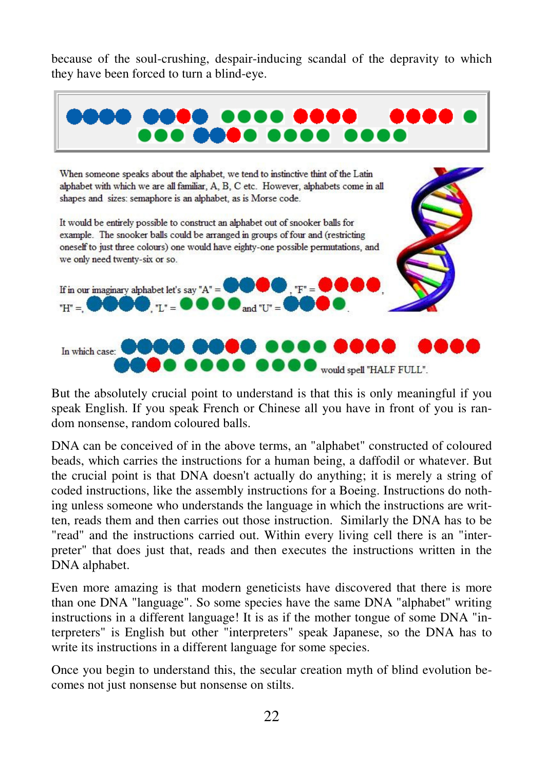because of the soul-crushing, despair-inducing scandal of the depravity to which they have been forced to turn a blind-eye.



But the absolutely crucial point to understand is that this is only meaningful if you speak English. If you speak French or Chinese all you have in front of you is random nonsense, random coloured balls.

DNA can be conceived of in the above terms, an "alphabet" constructed of coloured beads, which carries the instructions for a human being, a daffodil or whatever. But the crucial point is that DNA doesn't actually do anything; it is merely a string of coded instructions, like the assembly instructions for a Boeing. Instructions do nothing unless someone who understands the language in which the instructions are written, reads them and then carries out those instruction. Similarly the DNA has to be "read" and the instructions carried out. Within every living cell there is an "interpreter" that does just that, reads and then executes the instructions written in the DNA alphabet.

Even more amazing is that modern geneticists have discovered that there is more than one DNA "language". So some species have the same DNA "alphabet" writing instructions in a different language! It is as if the mother tongue of some DNA "interpreters" is English but other "interpreters" speak Japanese, so the DNA has to write its instructions in a different language for some species.

Once you begin to understand this, the secular creation myth of blind evolution becomes not just nonsense but nonsense on stilts.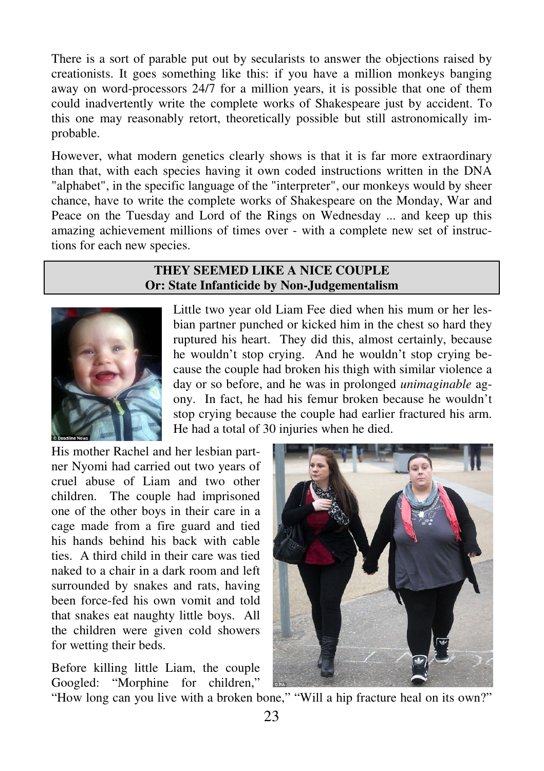There is a sort of parable put out by secularists to answer the objections raised by creationists. It goes something like this: if you have a million monkeys banging away on word-processors 24/7 for a million years, it is possible that one of them could inadvertently write the complete works of Shakespeare just by accident. To this one may reasonably retort, theoretically possible but still astronomically improbable.

However, what modern genetics clearly shows is that it is far more extraordinary than that, with each species having it own coded instructions written in the DNA "alphabet", in the specific language of the "interpreter", our monkeys would by sheer chance, have to write the complete works of Shakespeare on the Monday, War and Peace on the Tuesday and Lord of the Rings on Wednesday ... and keep up this amazing achievement millions of times over - with a complete new set of instructions for each new species.

## **THEY SEEMED LIKE A NICE COUPLE Or: State Infanticide by Non-Judgementalism**



Little two year old Liam Fee died when his mum or her lesbian partner punched or kicked him in the chest so hard they ruptured his heart. They did this, almost certainly, because he wouldn't stop crying. And he wouldn't stop crying because the couple had broken his thigh with similar violence a day or so before, and he was in prolonged *unimaginable* agony. In fact, he had his femur broken because he wouldn't stop crying because the couple had earlier fractured his arm. He had a total of 30 injuries when he died.

His mother Rachel and her lesbian partner Nyomi had carried out two years of cruel abuse of Liam and two other children. The couple had imprisoned one of the other boys in their care in a cage made from a fire guard and tied his hands behind his back with cable ties. A third child in their care was tied naked to a chair in a dark room and left surrounded by snakes and rats, having been force-fed his own vomit and told that snakes eat naughty little boys. All the children were given cold showers for wetting their beds.

Before killing little Liam, the couple Googled: "Morphine for children,"



"How long can you live with a broken bone," "Will a hip fracture heal on its own?"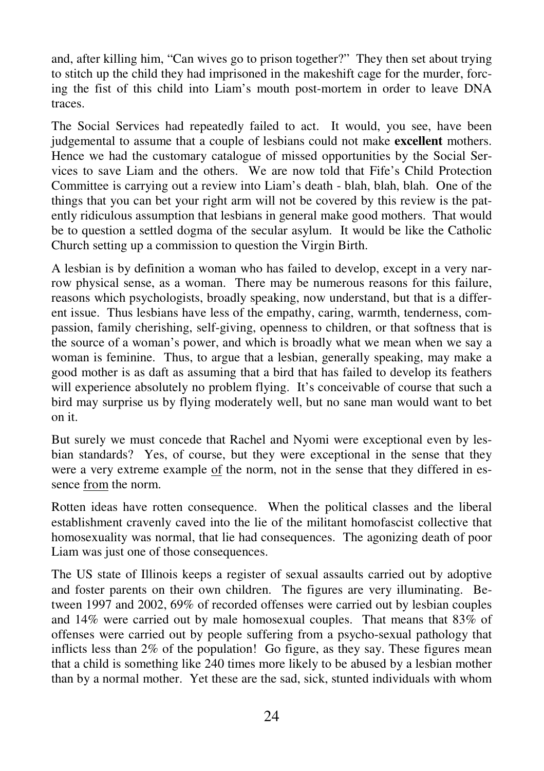and, after killing him, "Can wives go to prison together?" They then set about trying to stitch up the child they had imprisoned in the makeshift cage for the murder, forcing the fist of this child into Liam's mouth post-mortem in order to leave DNA traces.

The Social Services had repeatedly failed to act. It would, you see, have been judgemental to assume that a couple of lesbians could not make **excellent** mothers. Hence we had the customary catalogue of missed opportunities by the Social Services to save Liam and the others. We are now told that Fife's Child Protection Committee is carrying out a review into Liam's death - blah, blah, blah. One of the things that you can bet your right arm will not be covered by this review is the patently ridiculous assumption that lesbians in general make good mothers. That would be to question a settled dogma of the secular asylum. It would be like the Catholic Church setting up a commission to question the Virgin Birth.

A lesbian is by definition a woman who has failed to develop, except in a very narrow physical sense, as a woman. There may be numerous reasons for this failure, reasons which psychologists, broadly speaking, now understand, but that is a different issue. Thus lesbians have less of the empathy, caring, warmth, tenderness, compassion, family cherishing, self-giving, openness to children, or that softness that is the source of a woman's power, and which is broadly what we mean when we say a woman is feminine. Thus, to argue that a lesbian, generally speaking, may make a good mother is as daft as assuming that a bird that has failed to develop its feathers will experience absolutely no problem flying. It's conceivable of course that such a bird may surprise us by flying moderately well, but no sane man would want to bet on it.

But surely we must concede that Rachel and Nyomi were exceptional even by lesbian standards? Yes, of course, but they were exceptional in the sense that they were a very extreme example of the norm, not in the sense that they differed in essence from the norm.

Rotten ideas have rotten consequence. When the political classes and the liberal establishment cravenly caved into the lie of the militant homofascist collective that homosexuality was normal, that lie had consequences. The agonizing death of poor Liam was just one of those consequences.

The US state of Illinois keeps a register of sexual assaults carried out by adoptive and foster parents on their own children. The figures are very illuminating. Between 1997 and 2002, 69% of recorded offenses were carried out by lesbian couples and 14% were carried out by male homosexual couples. That means that 83% of offenses were carried out by people suffering from a psycho-sexual pathology that inflicts less than 2% of the population! Go figure, as they say. These figures mean that a child is something like 240 times more likely to be abused by a lesbian mother than by a normal mother. Yet these are the sad, sick, stunted individuals with whom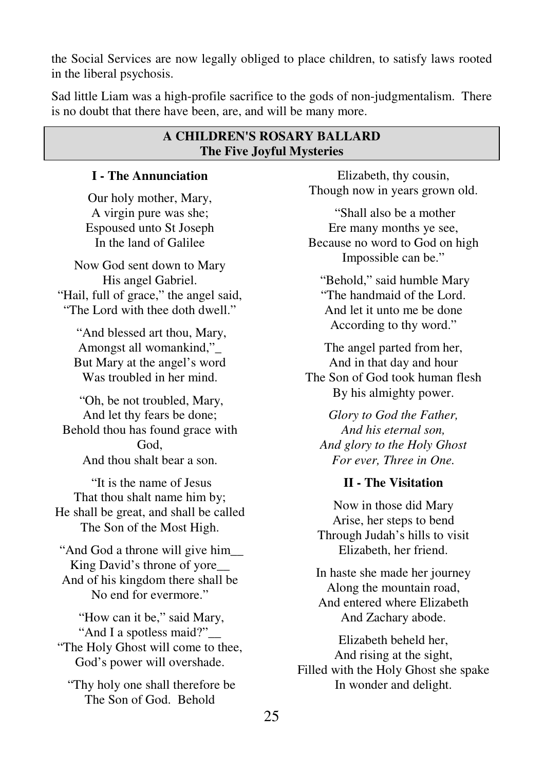the Social Services are now legally obliged to place children, to satisfy laws rooted in the liberal psychosis.

Sad little Liam was a high-profile sacrifice to the gods of non-judgmentalism. There is no doubt that there have been, are, and will be many more.

## **A CHILDREN'S ROSARY BALLARD The Five Joyful Mysteries**

## **I - The Annunciation**

Our holy mother, Mary, A virgin pure was she; Espoused unto St Joseph In the land of Galilee

Now God sent down to Mary His angel Gabriel. "Hail, full of grace," the angel said, "The Lord with thee doth dwell."

 "And blessed art thou, Mary, Amongst all womankind,"\_ But Mary at the angel's word Was troubled in her mind.

 "Oh, be not troubled, Mary, And let thy fears be done; Behold thou has found grace with God, And thou shalt bear a son.

 "It is the name of Jesus That thou shalt name him by; He shall be great, and shall be called The Son of the Most High.

 "And God a throne will give him\_\_ King David's throne of yore\_\_ And of his kingdom there shall be No end for evermore."

 "How can it be," said Mary, "And I a spotless maid?" "The Holy Ghost will come to thee, God's power will overshade.

 "Thy holy one shall therefore be The Son of God. Behold

Elizabeth, thy cousin, Though now in years grown old.

 "Shall also be a mother Ere many months ye see, Because no word to God on high Impossible can be."

 "Behold," said humble Mary "The handmaid of the Lord. And let it unto me be done According to thy word."

The angel parted from her, And in that day and hour The Son of God took human flesh By his almighty power.

*Glory to God the Father, And his eternal son, And glory to the Holy Ghost For ever, Three in One.* 

## **II - The Visitation**

Now in those did Mary Arise, her steps to bend Through Judah's hills to visit Elizabeth, her friend.

In haste she made her journey Along the mountain road, And entered where Elizabeth And Zachary abode.

Elizabeth beheld her, And rising at the sight, Filled with the Holy Ghost she spake In wonder and delight.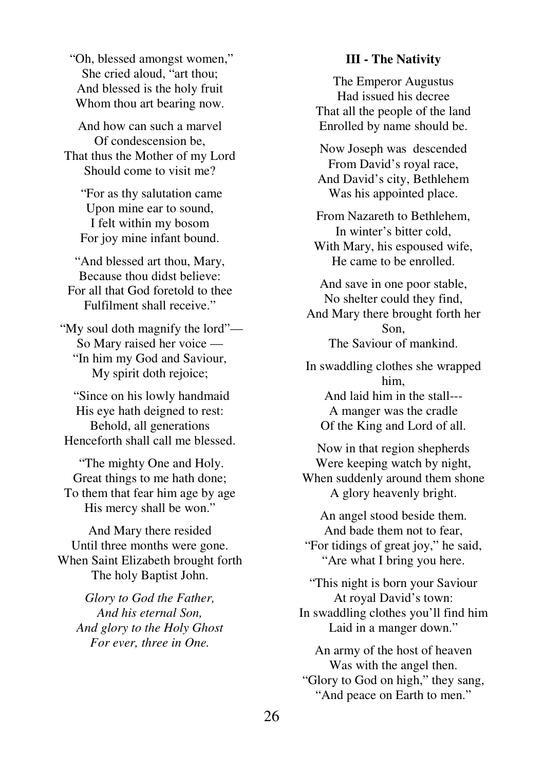"Oh, blessed amongst women," She cried aloud, "art thou; And blessed is the holy fruit Whom thou art bearing now.

And how can such a marvel Of condescension be, That thus the Mother of my Lord Should come to visit me?

 "For as thy salutation came Upon mine ear to sound, I felt within my bosom For joy mine infant bound.

"And blessed art thou, Mary, Because thou didst believe: For all that God foretold to thee Fulfilment shall receive."

 "My soul doth magnify the lord"— So Mary raised her voice — "In him my God and Saviour, My spirit doth rejoice;

 "Since on his lowly handmaid His eye hath deigned to rest: Behold, all generations Henceforth shall call me blessed.

 "The mighty One and Holy. Great things to me hath done; To them that fear him age by age His mercy shall be won."

And Mary there resided Until three months were gone. When Saint Elizabeth brought forth The holy Baptist John.

*Glory to God the Father, And his eternal Son, And glory to the Holy Ghost For ever, three in One.* 

#### **III - The Nativity**

The Emperor Augustus Had issued his decree That all the people of the land Enrolled by name should be.

Now Joseph was descended From David's royal race, And David's city, Bethlehem Was his appointed place.

From Nazareth to Bethlehem, In winter's bitter cold, With Mary, his espoused wife, He came to be enrolled.

And save in one poor stable, No shelter could they find, And Mary there brought forth her Son, The Saviour of mankind.

In swaddling clothes she wrapped him, And laid him in the stall---

A manger was the cradle Of the King and Lord of all.

Now in that region shepherds Were keeping watch by night, When suddenly around them shone A glory heavenly bright.

An angel stood beside them. And bade them not to fear, "For tidings of great joy," he said, "Are what I bring you here.

"This night is born your Saviour At royal David's town: In swaddling clothes you'll find him Laid in a manger down."

An army of the host of heaven Was with the angel then. "Glory to God on high," they sang, "And peace on Earth to men."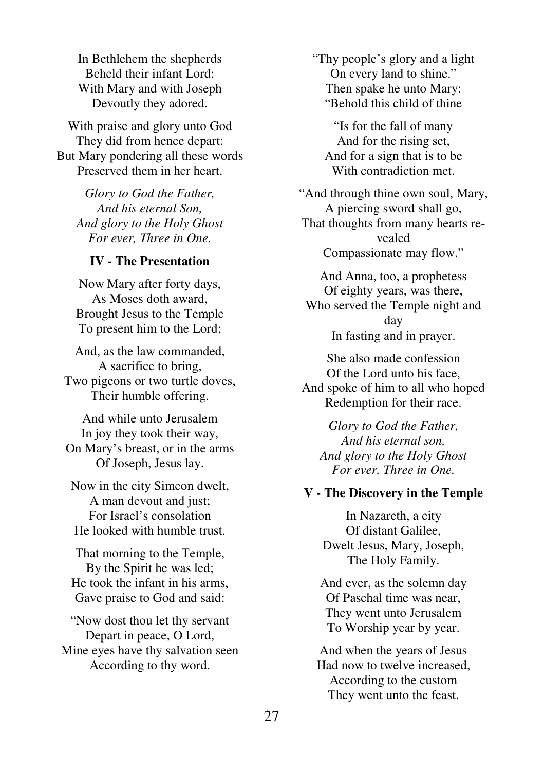In Bethlehem the shepherds Beheld their infant Lord: With Mary and with Joseph Devoutly they adored.

With praise and glory unto God They did from hence depart: But Mary pondering all these words Preserved them in her heart.

*Glory to God the Father, And his eternal Son, And glory to the Holy Ghost For ever, Three in One.* 

#### **IV - The Presentation**

Now Mary after forty days, As Moses doth award, Brought Jesus to the Temple To present him to the Lord;

And, as the law commanded, A sacrifice to bring, Two pigeons or two turtle doves, Their humble offering.

And while unto Jerusalem In joy they took their way, On Mary's breast, or in the arms Of Joseph, Jesus lay.

Now in the city Simeon dwelt, A man devout and just; For Israel's consolation He looked with humble trust.

That morning to the Temple, By the Spirit he was led; He took the infant in his arms, Gave praise to God and said:

"Now dost thou let thy servant Depart in peace, O Lord, Mine eyes have thy salvation seen According to thy word.

"Thy people's glory and a light On every land to shine." Then spake he unto Mary: "Behold this child of thine

"Is for the fall of many And for the rising set, And for a sign that is to be With contradiction met.

"And through thine own soul, Mary, A piercing sword shall go, That thoughts from many hearts revealed Compassionate may flow."

And Anna, too, a prophetess Of eighty years, was there, Who served the Temple night and day In fasting and in prayer.

She also made confession Of the Lord unto his face, And spoke of him to all who hoped Redemption for their race.

*Glory to God the Father, And his eternal son, And glory to the Holy Ghost For ever, Three in One.* 

#### **V - The Discovery in the Temple**

In Nazareth, a city Of distant Galilee, Dwelt Jesus, Mary, Joseph, The Holy Family.

And ever, as the solemn day Of Paschal time was near, They went unto Jerusalem To Worship year by year.

And when the years of Jesus Had now to twelve increased, According to the custom They went unto the feast.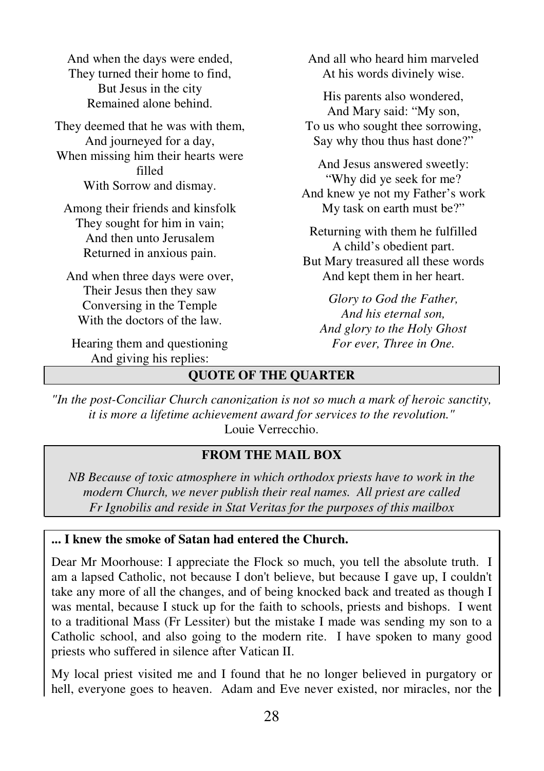And when the days were ended, They turned their home to find, But Jesus in the city Remained alone behind.

They deemed that he was with them, And journeyed for a day, When missing him their hearts were filled With Sorrow and dismay.

Among their friends and kinsfolk They sought for him in vain; And then unto Jerusalem Returned in anxious pain.

And when three days were over, Their Jesus then they saw Conversing in the Temple With the doctors of the law.

Hearing them and questioning And giving his replies:

And all who heard him marveled At his words divinely wise.

His parents also wondered, And Mary said: "My son, To us who sought thee sorrowing, Say why thou thus hast done?"

And Jesus answered sweetly: "Why did ye seek for me? And knew ye not my Father's work My task on earth must be?"

Returning with them he fulfilled A child's obedient part. But Mary treasured all these words And kept them in her heart.

*Glory to God the Father, And his eternal son, And glory to the Holy Ghost For ever, Three in One.* 

# **QUOTE OF THE QUARTER**

*"In the post-Conciliar Church canonization is not so much a mark of heroic sanctity, it is more a lifetime achievement award for services to the revolution."*  Louie Verrecchio.

#### **FROM THE MAIL BOX**

*NB Because of toxic atmosphere in which orthodox priests have to work in the modern Church, we never publish their real names. All priest are called Fr Ignobilis and reside in Stat Veritas for the purposes of this mailbox* 

## **... I knew the smoke of Satan had entered the Church.**

Dear Mr Moorhouse: I appreciate the Flock so much, you tell the absolute truth. I am a lapsed Catholic, not because I don't believe, but because I gave up, I couldn't take any more of all the changes, and of being knocked back and treated as though I was mental, because I stuck up for the faith to schools, priests and bishops. I went to a traditional Mass (Fr Lessiter) but the mistake I made was sending my son to a Catholic school, and also going to the modern rite. I have spoken to many good priests who suffered in silence after Vatican II.

My local priest visited me and I found that he no longer believed in purgatory or hell, everyone goes to heaven. Adam and Eve never existed, nor miracles, nor the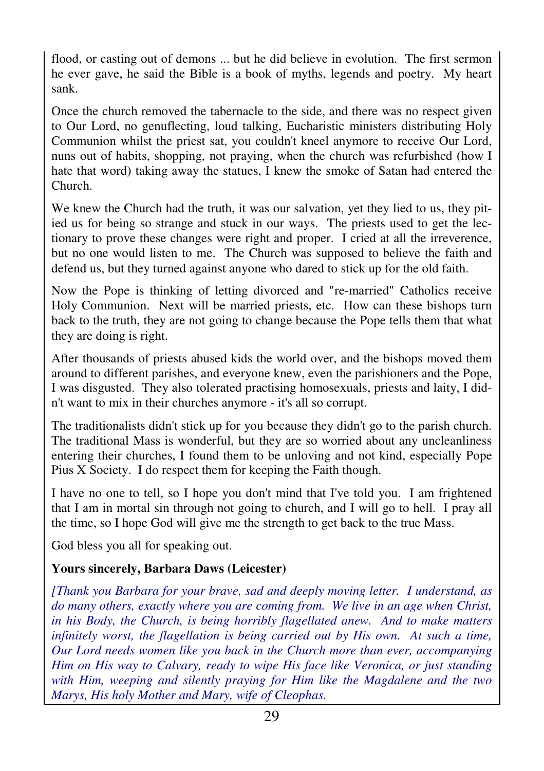flood, or casting out of demons ... but he did believe in evolution. The first sermon he ever gave, he said the Bible is a book of myths, legends and poetry. My heart sank.

Once the church removed the tabernacle to the side, and there was no respect given to Our Lord, no genuflecting, loud talking, Eucharistic ministers distributing Holy Communion whilst the priest sat, you couldn't kneel anymore to receive Our Lord, nuns out of habits, shopping, not praying, when the church was refurbished (how I hate that word) taking away the statues, I knew the smoke of Satan had entered the Church.

We knew the Church had the truth, it was our salvation, yet they lied to us, they pitied us for being so strange and stuck in our ways. The priests used to get the lectionary to prove these changes were right and proper. I cried at all the irreverence, but no one would listen to me. The Church was supposed to believe the faith and defend us, but they turned against anyone who dared to stick up for the old faith.

Now the Pope is thinking of letting divorced and "re-married" Catholics receive Holy Communion. Next will be married priests, etc. How can these bishops turn back to the truth, they are not going to change because the Pope tells them that what they are doing is right.

After thousands of priests abused kids the world over, and the bishops moved them around to different parishes, and everyone knew, even the parishioners and the Pope, I was disgusted. They also tolerated practising homosexuals, priests and laity, I didn't want to mix in their churches anymore - it's all so corrupt.

The traditionalists didn't stick up for you because they didn't go to the parish church. The traditional Mass is wonderful, but they are so worried about any uncleanliness entering their churches, I found them to be unloving and not kind, especially Pope Pius X Society. I do respect them for keeping the Faith though.

I have no one to tell, so I hope you don't mind that I've told you. I am frightened that I am in mortal sin through not going to church, and I will go to hell. I pray all the time, so I hope God will give me the strength to get back to the true Mass.

God bless you all for speaking out.

# **Yours sincerely, Barbara Daws (Leicester)**

*[Thank you Barbara for your brave, sad and deeply moving letter. I understand, as do many others, exactly where you are coming from. We live in an age when Christ, in his Body, the Church, is being horribly flagellated anew. And to make matters infinitely worst, the flagellation is being carried out by His own. At such a time, Our Lord needs women like you back in the Church more than ever, accompanying Him on His way to Calvary, ready to wipe His face like Veronica, or just standing with Him, weeping and silently praying for Him like the Magdalene and the two Marys, His holy Mother and Mary, wife of Cleophas.*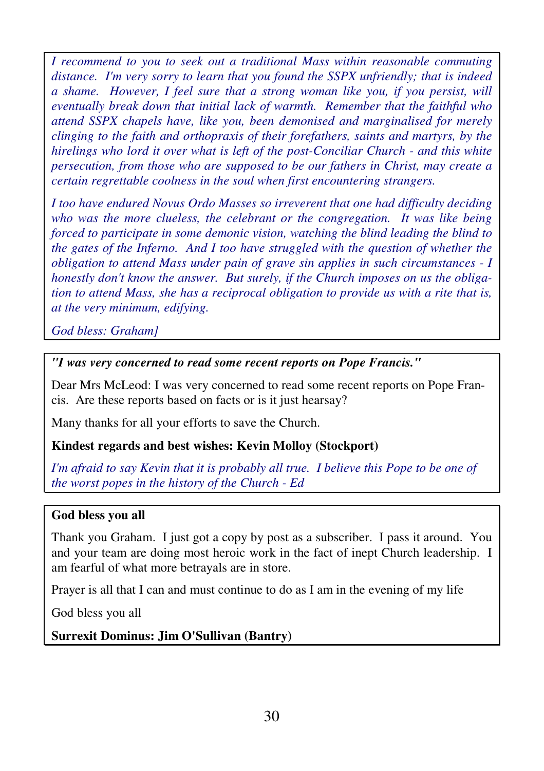*I recommend to you to seek out a traditional Mass within reasonable commuting distance. I'm very sorry to learn that you found the SSPX unfriendly; that is indeed a shame. However, I feel sure that a strong woman like you, if you persist, will eventually break down that initial lack of warmth. Remember that the faithful who attend SSPX chapels have, like you, been demonised and marginalised for merely clinging to the faith and orthopraxis of their forefathers, saints and martyrs, by the hirelings who lord it over what is left of the post-Conciliar Church - and this white persecution, from those who are supposed to be our fathers in Christ, may create a certain regrettable coolness in the soul when first encountering strangers.* 

*I too have endured Novus Ordo Masses so irreverent that one had difficulty deciding who was the more clueless, the celebrant or the congregation. It was like being forced to participate in some demonic vision, watching the blind leading the blind to the gates of the Inferno. And I too have struggled with the question of whether the obligation to attend Mass under pain of grave sin applies in such circumstances - I honestly don't know the answer. But surely, if the Church imposes on us the obligation to attend Mass, she has a reciprocal obligation to provide us with a rite that is, at the very minimum, edifying.* 

*God bless: Graham]* 

## *"I was very concerned to read some recent reports on Pope Francis."*

Dear Mrs McLeod: I was very concerned to read some recent reports on Pope Francis. Are these reports based on facts or is it just hearsay?

Many thanks for all your efforts to save the Church.

# **Kindest regards and best wishes: Kevin Molloy (Stockport)**

*I'm afraid to say Kevin that it is probably all true. I believe this Pope to be one of the worst popes in the history of the Church - Ed* 

## **God bless you all**

Thank you Graham. I just got a copy by post as a subscriber. I pass it around. You and your team are doing most heroic work in the fact of inept Church leadership. I am fearful of what more betrayals are in store.

Prayer is all that I can and must continue to do as I am in the evening of my life

God bless you all

**Surrexit Dominus: Jim O'Sullivan (Bantry)**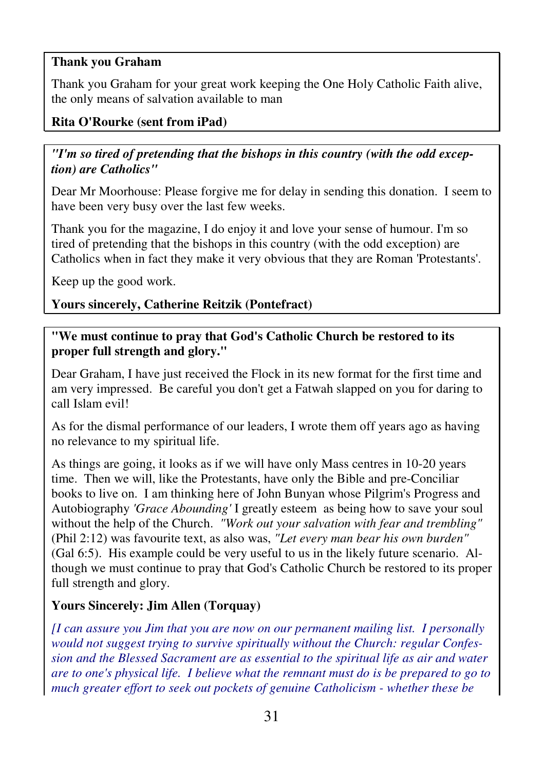# **Thank you Graham**

Thank you Graham for your great work keeping the One Holy Catholic Faith alive, the only means of salvation available to man

## **Rita O'Rourke (sent from iPad)**

# *"I'm so tired of pretending that the bishops in this country (with the odd exception) are Catholics"*

Dear Mr Moorhouse: Please forgive me for delay in sending this donation. I seem to have been very busy over the last few weeks.

Thank you for the magazine, I do enjoy it and love your sense of humour. I'm so tired of pretending that the bishops in this country (with the odd exception) are Catholics when in fact they make it very obvious that they are Roman 'Protestants'.

Keep up the good work.

## **Yours sincerely, Catherine Reitzik (Pontefract)**

**"We must continue to pray that God's Catholic Church be restored to its proper full strength and glory."** 

Dear Graham, I have just received the Flock in its new format for the first time and am very impressed. Be careful you don't get a Fatwah slapped on you for daring to call Islam evil!

As for the dismal performance of our leaders, I wrote them off years ago as having no relevance to my spiritual life.

As things are going, it looks as if we will have only Mass centres in 10-20 years time. Then we will, like the Protestants, have only the Bible and pre-Conciliar books to live on. I am thinking here of John Bunyan whose Pilgrim's Progress and Autobiography *'Grace Abounding'* I greatly esteem as being how to save your soul without the help of the Church. *"Work out your salvation with fear and trembling"* (Phil 2:12) was favourite text, as also was, *"Let every man bear his own burden"* (Gal 6:5). His example could be very useful to us in the likely future scenario. Although we must continue to pray that God's Catholic Church be restored to its proper full strength and glory.

# **Yours Sincerely: Jim Allen (Torquay)**

*[I can assure you Jim that you are now on our permanent mailing list. I personally would not suggest trying to survive spiritually without the Church: regular Confession and the Blessed Sacrament are as essential to the spiritual life as air and water are to one's physical life. I believe what the remnant must do is be prepared to go to much greater effort to seek out pockets of genuine Catholicism - whether these be*